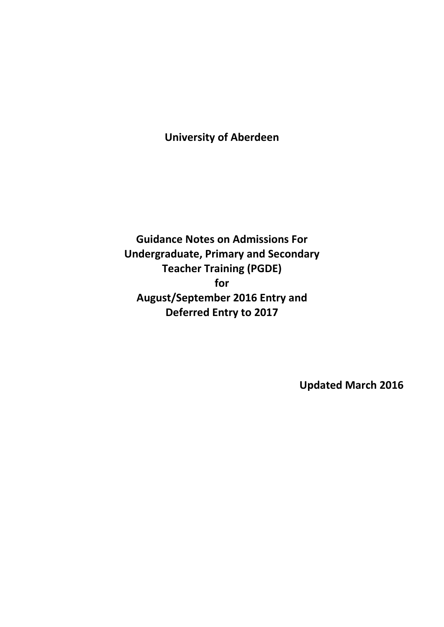# **University of Aberdeen**

**Guidance Notes on Admissions For Undergraduate, Primary and Secondary Teacher Training (PGDE) for August/September 2016 Entry and Deferred Entry to 2017**

**Updated March 2016**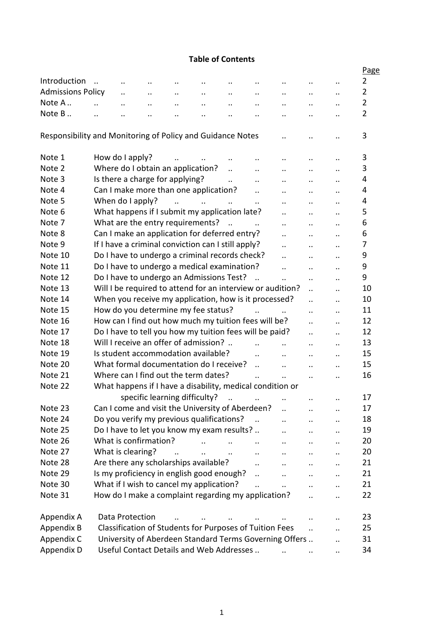### **Table of Contents**

|                                                            |                      |                      |                                 |           |                                                           |                       |                      |                                                            |                      |                      | Page           |
|------------------------------------------------------------|----------------------|----------------------|---------------------------------|-----------|-----------------------------------------------------------|-----------------------|----------------------|------------------------------------------------------------|----------------------|----------------------|----------------|
| Introduction                                               | $\ddotsc$            | $\cdot$ .            |                                 |           |                                                           |                       |                      |                                                            |                      |                      | $\overline{2}$ |
| <b>Admissions Policy</b>                                   |                      | $\ddot{\phantom{0}}$ | $\ddotsc$                       | $\ddotsc$ | $\ddotsc$                                                 | $\ddotsc$             | $\ddotsc$            | $\ddotsc$                                                  | $\cdot$ .            | $\cdot$ .            | $\overline{2}$ |
| Note A                                                     | $\ddot{\phantom{a}}$ | $\ddotsc$            | $\ddotsc$                       | $\ddotsc$ | $\ddotsc$                                                 | $\ddotsc$             | $\ddotsc$            | $\ddotsc$                                                  | $\ddotsc$            | $\ddotsc$            | $\overline{2}$ |
| Note B                                                     | $\ddot{\phantom{a}}$ | $\ddot{\phantom{a}}$ | $\ddotsc$                       | $\ddotsc$ | $\ddot{\phantom{0}}$                                      | $\ddot{\phantom{0}}$  |                      | $\ddotsc$                                                  | $\ddot{\phantom{0}}$ | $\ddot{\phantom{a}}$ | $\overline{2}$ |
|                                                            |                      |                      |                                 |           |                                                           |                       |                      |                                                            |                      |                      |                |
| Responsibility and Monitoring of Policy and Guidance Notes |                      |                      |                                 |           |                                                           |                       |                      |                                                            |                      | $\ddot{\phantom{0}}$ | 3              |
| Note 1                                                     |                      | How do I apply?      |                                 |           |                                                           |                       |                      | $\ddotsc$                                                  | $\ddot{\phantom{0}}$ | $\ddot{\phantom{a}}$ | 3              |
| Note 2                                                     |                      |                      |                                 |           | Where do I obtain an application?                         | $\ddot{\phantom{a}}$  | $\ddot{\phantom{a}}$ | $\ddotsc$                                                  | $\cdot$ .            | $\ddot{\phantom{0}}$ | 3              |
| Note 3                                                     |                      |                      | Is there a charge for applying? |           |                                                           | $\ddot{\phantom{a}}$  | $\ddot{\phantom{a}}$ | $\ddotsc$                                                  | $\ddot{\phantom{0}}$ | $\ddot{\phantom{a}}$ | 4              |
| Note 4                                                     |                      |                      |                                 |           | Can I make more than one application?                     |                       | $\ddotsc$            | $\ddot{\phantom{0}}$                                       | $\cdot$ .            | $\ddot{\phantom{0}}$ | 4              |
| Note 5                                                     |                      | When do I apply?     |                                 | $\ddotsc$ | $\mathbf{r}$ . The state $\mathbf{r}$                     | $\dddot{\phantom{0}}$ | $\ddotsc$            | $\ddot{\phantom{a}}$                                       | $\ddot{\phantom{a}}$ | $\ddot{\phantom{a}}$ | 4              |
| Note 6                                                     |                      |                      |                                 |           | What happens if I submit my application late?             |                       |                      | $\ddot{\phantom{a}}$                                       | $\ddot{\phantom{a}}$ | $\ddot{\phantom{a}}$ | 5              |
| Note 7                                                     |                      |                      |                                 |           | What are the entry requirements?                          | $\dddot{\phantom{0}}$ |                      | $\ddot{\phantom{a}}$                                       | $\ddot{\phantom{a}}$ | $\ddot{\phantom{a}}$ | 6              |
| Note 8                                                     |                      |                      |                                 |           | Can I make an application for deferred entry?             |                       |                      | $\ddot{\phantom{0}}$                                       | $\ddot{\phantom{a}}$ | $\ddot{\phantom{a}}$ | 6              |
| Note 9                                                     |                      |                      |                                 |           | If I have a criminal conviction can I still apply?        |                       |                      | $\ddot{\phantom{a}}$                                       | $\ddot{\phantom{0}}$ | $\ddot{\phantom{a}}$ | 7              |
| Note 10                                                    |                      |                      |                                 |           | Do I have to undergo a criminal records check?            |                       |                      | $\ddot{\phantom{a}}$                                       | $\ddotsc$            | $\ddot{\phantom{a}}$ | 9              |
| Note 11                                                    |                      |                      |                                 |           | Do I have to undergo a medical examination?               |                       |                      | $\ddot{\phantom{a}}$                                       | $\ddot{\phantom{a}}$ | $\ddot{\phantom{0}}$ | 9              |
| Note 12                                                    |                      |                      |                                 |           | Do I have to undergo an Admissions Test?                  |                       | $\dddotsc$           | $\ddot{\phantom{a}}$                                       | $\ddot{\phantom{a}}$ | $\ddot{\phantom{a}}$ | 9              |
| Note 13                                                    |                      |                      |                                 |           |                                                           |                       |                      | Will I be required to attend for an interview or audition? | $\ddot{\phantom{a}}$ | $\ddot{\phantom{a}}$ | 10             |
| Note 14                                                    |                      |                      |                                 |           | When you receive my application, how is it processed?     |                       |                      |                                                            | $\ddot{\phantom{a}}$ | $\ddot{\phantom{a}}$ | 10             |
| Note 15                                                    |                      |                      |                                 |           | How do you determine my fee status?                       |                       |                      |                                                            | $\ddot{\phantom{a}}$ | $\ddot{\phantom{a}}$ | 11             |
| Note 16                                                    |                      |                      |                                 |           | How can I find out how much my tuition fees will be?      |                       |                      |                                                            | $\ddot{\phantom{a}}$ | $\ddot{\phantom{a}}$ | 12             |
| Note 17                                                    |                      |                      |                                 |           | Do I have to tell you how my tuition fees will be paid?   |                       |                      |                                                            | $\ddot{\phantom{a}}$ | $\ddot{\phantom{a}}$ | 12             |
| Note 18                                                    |                      |                      |                                 |           | Will I receive an offer of admission?                     |                       |                      |                                                            | $\ddotsc$            | $\ddot{\phantom{a}}$ | 13             |
| Note 19                                                    |                      |                      |                                 |           | Is student accommodation available?                       |                       | $\ddot{\phantom{a}}$ | $\ddot{\phantom{a}}$                                       | $\ddotsc$            | $\ddot{\phantom{a}}$ | 15             |
| Note 20                                                    |                      |                      |                                 |           | What formal documentation do I receive?                   |                       | $\ddotsc$            | $\ddot{\phantom{a}}$                                       | $\ddot{\phantom{0}}$ | $\ddot{\phantom{a}}$ | 15             |
| Note 21                                                    |                      |                      |                                 |           | Where can I find out the term dates?                      |                       | $\ddot{\phantom{a}}$ | $\ddot{\phantom{a}}$                                       | $\ddot{\phantom{a}}$ | $\ddot{\phantom{a}}$ | 16             |
| Note 22                                                    |                      |                      |                                 |           | What happens if I have a disability, medical condition or |                       |                      |                                                            |                      |                      |                |
|                                                            |                      |                      |                                 |           | specific learning difficulty?                             |                       |                      |                                                            |                      |                      | 17             |
| Note 23                                                    |                      |                      |                                 |           | Can I come and visit the University of Aberdeen?          |                       |                      |                                                            |                      | $\ddot{\phantom{a}}$ | 17             |
| Note 24                                                    |                      |                      |                                 |           | Do you verify my previous qualifications?                 |                       |                      | $\ddot{\phantom{a}}$                                       | $\ddot{\phantom{0}}$ | $\ddot{\phantom{a}}$ | 18             |
| Note 25                                                    |                      |                      |                                 |           | Do I have to let you know my exam results?                |                       |                      |                                                            |                      | $\ddot{\phantom{a}}$ | 19             |
| Note 26                                                    |                      |                      | What is confirmation?           |           |                                                           |                       | $\ddot{\phantom{a}}$ | $\ddot{\phantom{0}}$                                       | $\cdot$ .            | $\ddot{\phantom{0}}$ | 20             |
| Note 27                                                    |                      | What is clearing?    |                                 |           |                                                           |                       | $\ddotsc$            | $\ddotsc$                                                  | $\ddot{\phantom{a}}$ | $\ddot{\phantom{a}}$ | 20             |
| Note 28                                                    |                      |                      |                                 |           | Are there any scholarships available?                     |                       | $\ddot{\phantom{a}}$ | $\ddot{\phantom{0}}$                                       | $\cdot$ .            | $\ddot{\phantom{0}}$ | 21             |
| Note 29                                                    |                      |                      |                                 |           | Is my proficiency in english good enough?                 |                       | $\ddot{\phantom{a}}$ |                                                            | $\ddot{\phantom{a}}$ | $\ddot{\phantom{a}}$ | 21             |
| Note 30                                                    |                      |                      |                                 |           | What if I wish to cancel my application?                  |                       |                      |                                                            |                      | $\ddot{\phantom{a}}$ | 21             |
| Note 31                                                    |                      |                      |                                 |           | How do I make a complaint regarding my application?       |                       |                      |                                                            |                      |                      | 22             |
|                                                            |                      |                      |                                 |           |                                                           |                       |                      |                                                            |                      |                      |                |
| Appendix A                                                 |                      | Data Protection      |                                 |           |                                                           |                       |                      |                                                            |                      |                      | 23             |
| Appendix B                                                 |                      |                      |                                 |           | Classification of Students for Purposes of Tuition Fees   |                       |                      |                                                            | $\ddot{\phantom{a}}$ | $\ddot{\phantom{a}}$ | 25             |
| Appendix C                                                 |                      |                      |                                 |           |                                                           |                       |                      | University of Aberdeen Standard Terms Governing Offers     |                      | $\ddot{\phantom{a}}$ | 31             |
| Appendix D                                                 |                      |                      |                                 |           | Useful Contact Details and Web Addresses                  |                       |                      |                                                            |                      | $\ddot{\phantom{a}}$ | 34             |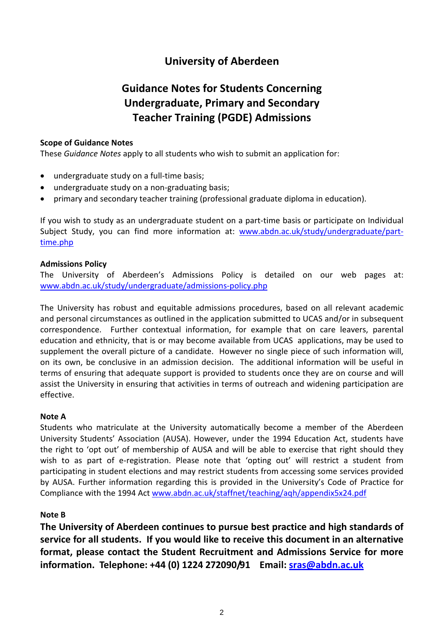# **University of Aberdeen**

# **Guidance Notes for Students Concerning Undergraduate, Primary and Secondary Teacher Training (PGDE) Admissions**

#### **Scope of Guidance Notes**

These *Guidance Notes* apply to all students who wish to submit an application for:

- undergraduate study on a full-time basis;
- undergraduate study on a non-graduating basis;
- primary and secondary teacher training (professional graduate diploma in education).

If you wish to study as an undergraduate student on a part-time basis or participate on Individual Subject Study, you can find more information at: [www.abdn.ac.uk/study/undergraduate/part](http://www.abdn.ac.uk/study/undergraduate/part-time.php)[time.php](http://www.abdn.ac.uk/study/undergraduate/part-time.php)

#### **Admissions Policy**

The University of Aberdeen's Admissions Policy is detailed on our web pages at: [www.abdn.ac.uk/study/undergraduate/admissions-policy.php](http://www.abdn.ac.uk/study/undergraduate/admissions-policy.php)

The University has robust and equitable admissions procedures, based on all relevant academic and personal circumstances as outlined in the application submitted to UCAS and/or in subsequent correspondence. Further contextual information, for example that on care leavers, parental education and ethnicity, that is or may become available from UCAS applications, may be used to supplement the overall picture of a candidate. However no single piece of such information will, on its own, be conclusive in an admission decision. The additional information will be useful in terms of ensuring that adequate support is provided to students once they are on course and will assist the University in ensuring that activities in terms of outreach and widening participation are effective.

### **Note A**

Students who matriculate at the University automatically become a member of the Aberdeen University Students' Association (AUSA). However, under the 1994 Education Act, students have the right to 'opt out' of membership of AUSA and will be able to exercise that right should they wish to as part of e-registration. Please note that 'opting out' will restrict a student from participating in student elections and may restrict students from accessing some services provided by AUSA. Further information regarding this is provided in the University's Code of Practice for Compliance with the 1994 Act [www.abdn.ac.uk/staffnet/teaching/aqh/appendix5x24.pdf](http://www.abdn.ac.uk/staffnet/teaching/aqh/appendix5x24.pdf)

### **Note B**

**The University of Aberdeen continues to pursue best practice and high standards of service for all students. If you would like to receive this document in an alternative format, please contact the Student Recruitment and Admissions Service for more information. Telephone: +44 (0) 1224 272090/91 Email: [sras@abdn.ac.uk](mailto:sras@abdn.ac.uk)**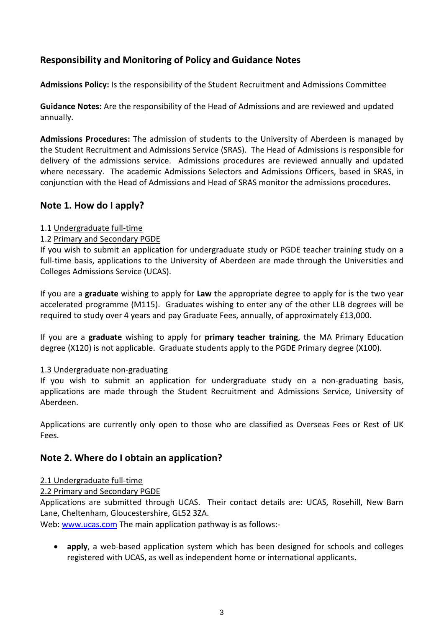# **Responsibility and Monitoring of Policy and Guidance Notes**

**Admissions Policy:** Is the responsibility of the Student Recruitment and Admissions Committee

**Guidance Notes:** Are the responsibility of the Head of Admissions and are reviewed and updated annually.

**Admissions Procedures:** The admission of students to the University of Aberdeen is managed by the Student Recruitment and Admissions Service (SRAS). The Head of Admissions is responsible for delivery of the admissions service. Admissions procedures are reviewed annually and updated where necessary. The academic Admissions Selectors and Admissions Officers, based in SRAS, in conjunction with the Head of Admissions and Head of SRAS monitor the admissions procedures.

# **Note 1. How do I apply?**

### 1.1 Undergraduate full-time

# 1.2 Primary and Secondary PGDE

If you wish to submit an application for undergraduate study or PGDE teacher training study on a full-time basis, applications to the University of Aberdeen are made through the Universities and Colleges Admissions Service (UCAS).

If you are a **graduate** wishing to apply for **Law** the appropriate degree to apply for is the two year accelerated programme (M115). Graduates wishing to enter any of the other LLB degrees will be required to study over 4 years and pay Graduate Fees, annually, of approximately £13,000.

If you are a **graduate** wishing to apply for **primary teacher training**, the MA Primary Education degree (X120) is not applicable. Graduate students apply to the PGDE Primary degree (X100).

### 1.3 Undergraduate non-graduating

If you wish to submit an application for undergraduate study on a non-graduating basis, applications are made through the Student Recruitment and Admissions Service, University of Aberdeen.

Applications are currently only open to those who are classified as Overseas Fees or Rest of UK Fees.

# **Note 2. Where do I obtain an application?**

### 2.1 Undergraduate full-time

### 2.2 Primary and Secondary PGDE

Applications are submitted through UCAS. Their contact details are: UCAS, Rosehill, New Barn Lane, Cheltenham, Gloucestershire, GL52 3ZA.

Web: [www.ucas.com](http://www.ucas.com/) The main application pathway is as follows:-

• **apply**, a web-based application system which has been designed for schools and colleges registered with UCAS, as well as independent home or international applicants.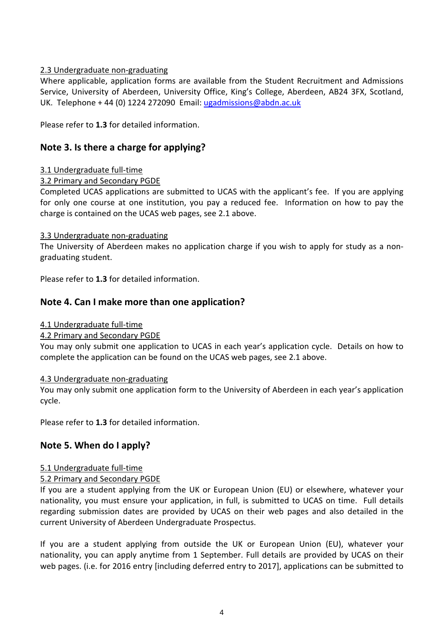### 2.3 Undergraduate non-graduating

Where applicable, application forms are available from the Student Recruitment and Admissions Service, University of Aberdeen, University Office, King's College, Aberdeen, AB24 3FX, Scotland, UK. Telephone + 44 (0) 1224 272090 Email: [ugadmissions@abdn.ac.uk](mailto:ugadmissions@abdn.ac.uk)

Please refer to **1.3** for detailed information.

# **Note 3. Is there a charge for applying?**

# 3.1 Undergraduate full-time

# 3.2 Primary and Secondary PGDE

Completed UCAS applications are submitted to UCAS with the applicant's fee. If you are applying for only one course at one institution, you pay a reduced fee. Information on how to pay the charge is contained on the UCAS web pages, see 2.1 above.

### 3.3 Undergraduate non-graduating

The University of Aberdeen makes no application charge if you wish to apply for study as a nongraduating student.

Please refer to **1.3** for detailed information.

# **Note 4. Can I make more than one application?**

### 4.1 Undergraduate full-time

### 4.2 Primary and Secondary PGDE

You may only submit one application to UCAS in each year's application cycle. Details on how to complete the application can be found on the UCAS web pages, see 2.1 above.

### 4.3 Undergraduate non-graduating

You may only submit one application form to the University of Aberdeen in each year's application cycle.

Please refer to **1.3** for detailed information.

# **Note 5. When do I apply?**

# 5.1 Undergraduate full-time

### 5.2 Primary and Secondary PGDE

If you are a student applying from the UK or European Union (EU) or elsewhere, whatever your nationality, you must ensure your application, in full, is submitted to UCAS on time. Full details regarding submission dates are provided by UCAS on their web pages and also detailed in the current University of Aberdeen Undergraduate Prospectus.

If you are a student applying from outside the UK or European Union (EU), whatever your nationality, you can apply anytime from 1 September. Full details are provided by UCAS on their web pages. (i.e. for 2016 entry [including deferred entry to 2017], applications can be submitted to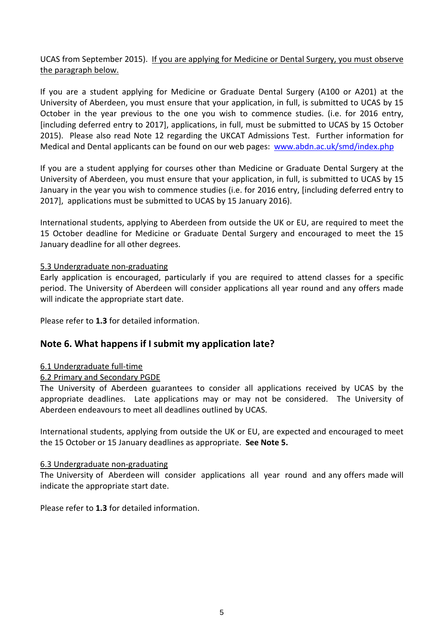### UCAS from September 2015). If you are applying for Medicine or Dental Surgery, you must observe the paragraph below.

If you are a student applying for Medicine or Graduate Dental Surgery (A100 or A201) at the University of Aberdeen, you must ensure that your application, in full, is submitted to UCAS by 15 October in the year previous to the one you wish to commence studies. (i.e. for 2016 entry, [including deferred entry to 2017], applications, in full, must be submitted to UCAS by 15 October 2015). Please also read Note 12 regarding the UKCAT Admissions Test. Further information for Medical and Dental applicants can be found on our web pages: [www.abdn.ac.uk/smd/index.php](http://www.abdn.ac.uk/smd/index.php)

If you are a student applying for courses other than Medicine or Graduate Dental Surgery at the University of Aberdeen, you must ensure that your application, in full, is submitted to UCAS by 15 January in the year you wish to commence studies (i.e. for 2016 entry, [including deferred entry to 2017], applications must be submitted to UCAS by 15 January 2016).

International students, applying to Aberdeen from outside the UK or EU, are required to meet the 15 October deadline for Medicine or Graduate Dental Surgery and encouraged to meet the 15 January deadline for all other degrees.

#### 5.3 Undergraduate non-graduating

Early application is encouraged, particularly if you are required to attend classes for a specific period. The University of Aberdeen will consider applications all year round and any offers made will indicate the appropriate start date.

Please refer to **1.3** for detailed information.

# **Note 6. What happens if I submit my application late?**

### 6.1 Undergraduate full-time

#### 6.2 Primary and Secondary PGDE

The University of Aberdeen guarantees to consider all applications received by UCAS by the appropriate deadlines. Late applications may or may not be considered. The University of Aberdeen endeavours to meet all deadlines outlined by UCAS.

International students, applying from outside the UK or EU, are expected and encouraged to meet the 15 October or 15 January deadlines as appropriate. **See Note 5.**

#### 6.3 Undergraduate non-graduating

The University of Aberdeen will consider applications all year round and any offers made will indicate the appropriate start date.

Please refer to **1.3** for detailed information.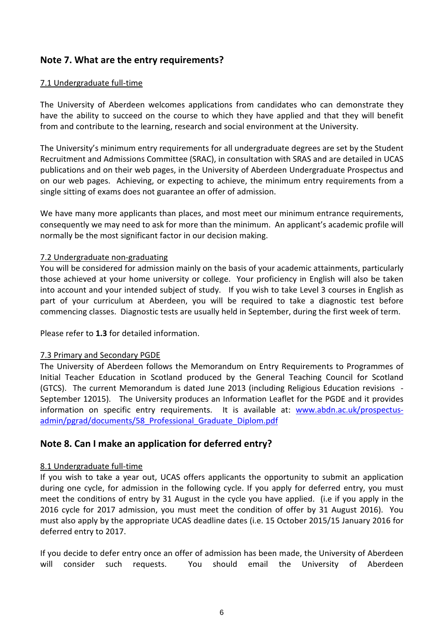# **Note 7. What are the entry requirements?**

#### 7.1 Undergraduate full-time

The University of Aberdeen welcomes applications from candidates who can demonstrate they have the ability to succeed on the course to which they have applied and that they will benefit from and contribute to the learning, research and social environment at the University.

The University's minimum entry requirements for all undergraduate degrees are set by the Student Recruitment and Admissions Committee (SRAC), in consultation with SRAS and are detailed in UCAS publications and on their web pages, in the University of Aberdeen Undergraduate Prospectus and on our web pages. Achieving, or expecting to achieve, the minimum entry requirements from a single sitting of exams does not guarantee an offer of admission.

We have many more applicants than places, and most meet our minimum entrance requirements, consequently we may need to ask for more than the minimum. An applicant's academic profile will normally be the most significant factor in our decision making.

#### 7.2 Undergraduate non-graduating

You will be considered for admission mainly on the basis of your academic attainments, particularly those achieved at your home university or college. Your proficiency in English will also be taken into account and your intended subject of study. If you wish to take Level 3 courses in English as part of your curriculum at Aberdeen, you will be required to take a diagnostic test before commencing classes. Diagnostic tests are usually held in September, during the first week of term.

Please refer to **1.3** for detailed information.

#### 7.3 Primary and Secondary PGDE

The University of Aberdeen follows the Memorandum on Entry Requirements to Programmes of Initial Teacher Education in Scotland produced by the General Teaching Council for Scotland (GTCS). The current Memorandum is dated June 2013 (including Religious Education revisions - September 12015). The University produces an Information Leaflet for the PGDE and it provides information on specific entry requirements. It is available at: [www.abdn.ac.uk/prospectus](http://www.abdn.ac.uk/prospectus-admin/pgrad/documents/58_Professional_Graduate_Diplom.pdf)[admin/pgrad/documents/58\\_Professional\\_Graduate\\_Diplom.pdf](http://www.abdn.ac.uk/prospectus-admin/pgrad/documents/58_Professional_Graduate_Diplom.pdf)

# **Note 8. Can I make an application for deferred entry?**

#### 8.1 Undergraduate full-time

If you wish to take a year out, UCAS offers applicants the opportunity to submit an application during one cycle, for admission in the following cycle. If you apply for deferred entry, you must meet the conditions of entry by 31 August in the cycle you have applied. (i.e if you apply in the 2016 cycle for 2017 admission, you must meet the condition of offer by 31 August 2016). You must also apply by the appropriate UCAS deadline dates (i.e. 15 October 2015/15 January 2016 for deferred entry to 2017.

If you decide to defer entry once an offer of admission has been made, the University of Aberdeen will consider such requests. You should email the University of Aberdeen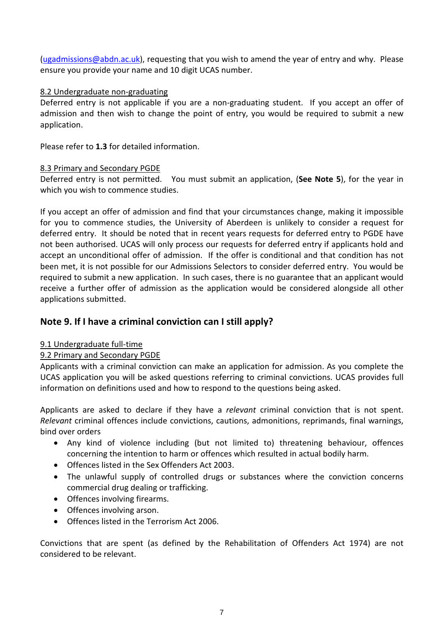[\(ugadmissions@abdn.ac.uk\)](mailto:ugadmissions@abdn.ac.uk), requesting that you wish to amend the year of entry and why. Please ensure you provide your name and 10 digit UCAS number.

### 8.2 Undergraduate non-graduating

Deferred entry is not applicable if you are a non-graduating student. If you accept an offer of admission and then wish to change the point of entry, you would be required to submit a new application.

Please refer to **1.3** for detailed information.

#### 8.3 Primary and Secondary PGDE

Deferred entry is not permitted. You must submit an application, (**See Note 5**), for the year in which you wish to commence studies.

If you accept an offer of admission and find that your circumstances change, making it impossible for you to commence studies, the University of Aberdeen is unlikely to consider a request for deferred entry. It should be noted that in recent years requests for deferred entry to PGDE have not been authorised. UCAS will only process our requests for deferred entry if applicants hold and accept an unconditional offer of admission. If the offer is conditional and that condition has not been met, it is not possible for our Admissions Selectors to consider deferred entry. You would be required to submit a new application. In such cases, there is no guarantee that an applicant would receive a further offer of admission as the application would be considered alongside all other applications submitted.

# **Note 9. If I have a criminal conviction can I still apply?**

### 9.1 Undergraduate full-time

### 9.2 Primary and Secondary PGDE

Applicants with a criminal conviction can make an application for admission. As you complete the UCAS application you will be asked questions referring to criminal convictions. UCAS provides full information on definitions used and how to respond to the questions being asked.

Applicants are asked to declare if they have a *relevant* criminal conviction that is not spent. *Relevant* criminal offences include convictions, cautions, admonitions, reprimands, final warnings, bind over orders

- Any kind of violence including (but not limited to) threatening behaviour, offences concerning the intention to harm or offences which resulted in actual bodily harm.
- Offences listed in the Sex Offenders Act 2003.
- The unlawful supply of controlled drugs or substances where the conviction concerns commercial drug dealing or trafficking.
- Offences involving firearms.
- Offences involving arson.
- Offences listed in the Terrorism Act 2006.

Convictions that are spent (as defined by the Rehabilitation of Offenders Act 1974) are not considered to be relevant.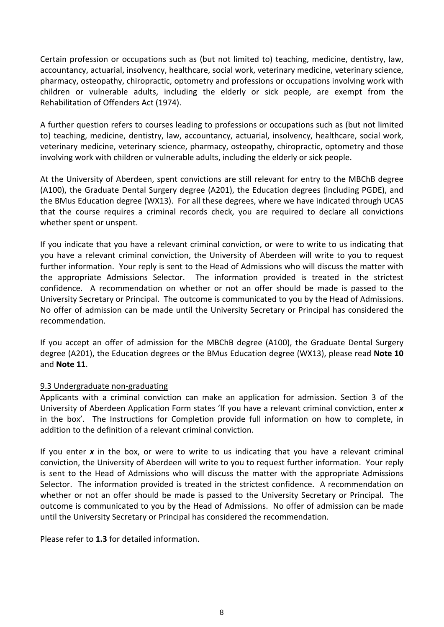Certain profession or occupations such as (but not limited to) teaching, medicine, dentistry, law, accountancy, actuarial, insolvency, healthcare, social work, veterinary medicine, veterinary science, pharmacy, osteopathy, chiropractic, optometry and professions or occupations involving work with children or vulnerable adults, including the elderly or sick people, are exempt from the Rehabilitation of Offenders Act (1974).

A further question refers to courses leading to professions or occupations such as (but not limited to) teaching, medicine, dentistry, law, accountancy, actuarial, insolvency, healthcare, social work, veterinary medicine, veterinary science, pharmacy, osteopathy, chiropractic, optometry and those involving work with children or vulnerable adults, including the elderly or sick people.

At the University of Aberdeen, spent convictions are still relevant for entry to the MBChB degree (A100), the Graduate Dental Surgery degree (A201), the Education degrees (including PGDE), and the BMus Education degree (WX13). For all these degrees, where we have indicated through UCAS that the course requires a criminal records check, you are required to declare all convictions whether spent or unspent.

If you indicate that you have a relevant criminal conviction, or were to write to us indicating that you have a relevant criminal conviction, the University of Aberdeen will write to you to request further information. Your reply is sent to the Head of Admissions who will discuss the matter with the appropriate Admissions Selector. The information provided is treated in the strictest confidence. A recommendation on whether or not an offer should be made is passed to the University Secretary or Principal. The outcome is communicated to you by the Head of Admissions. No offer of admission can be made until the University Secretary or Principal has considered the recommendation.

If you accept an offer of admission for the MBChB degree (A100), the Graduate Dental Surgery degree (A201), the Education degrees or the BMus Education degree (WX13), please read **Note 10** and **Note 11**.

### 9.3 Undergraduate non-graduating

Applicants with a criminal conviction can make an application for admission. Section 3 of the University of Aberdeen Application Form states 'If you have a relevant criminal conviction, enter *x* in the box'. The Instructions for Completion provide full information on how to complete, in addition to the definition of a relevant criminal conviction.

If you enter *x* in the box, or were to write to us indicating that you have a relevant criminal conviction, the University of Aberdeen will write to you to request further information. Your reply is sent to the Head of Admissions who will discuss the matter with the appropriate Admissions Selector. The information provided is treated in the strictest confidence. A recommendation on whether or not an offer should be made is passed to the University Secretary or Principal. The outcome is communicated to you by the Head of Admissions. No offer of admission can be made until the University Secretary or Principal has considered the recommendation.

Please refer to **1.3** for detailed information.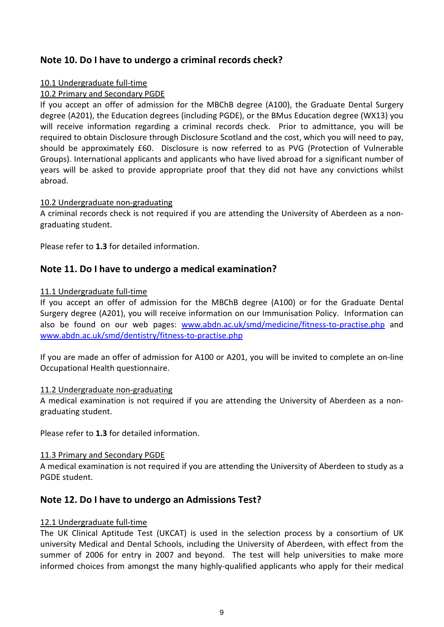# **Note 10. Do I have to undergo a criminal records check?**

#### 10.1 Undergraduate full-time

### 10.2 Primary and Secondary PGDE

If you accept an offer of admission for the MBChB degree (A100), the Graduate Dental Surgery degree (A201), the Education degrees (including PGDE), or the BMus Education degree (WX13) you will receive information regarding a criminal records check. Prior to admittance, you will be required to obtain Disclosure through Disclosure Scotland and the cost, which you will need to pay, should be approximately £60. Disclosure is now referred to as PVG (Protection of Vulnerable Groups). International applicants and applicants who have lived abroad for a significant number of years will be asked to provide appropriate proof that they did not have any convictions whilst abroad.

#### 10.2 Undergraduate non-graduating

A criminal records check is not required if you are attending the University of Aberdeen as a nongraduating student.

Please refer to **1.3** for detailed information.

# **Note 11. Do I have to undergo a medical examination?**

#### 11.1 Undergraduate full-time

If you accept an offer of admission for the MBChB degree (A100) or for the Graduate Dental Surgery degree (A201), you will receive information on our Immunisation Policy. Information can also be found on our web pages: [www.abdn.ac.uk/smd/medicine/fitness-to-practise.php](http://www.abdn.ac.uk/smd/medicine/fitness-to-practise.php) and [www.abdn.ac.uk/smd/dentistry/fitness-to-practise.php](http://www.abdn.ac.uk/smd/dentistry/fitness-to-practise.php)

If you are made an offer of admission for A100 or A201, you will be invited to complete an on-line Occupational Health questionnaire.

#### 11.2 Undergraduate non-graduating

A medical examination is not required if you are attending the University of Aberdeen as a nongraduating student.

Please refer to **1.3** for detailed information.

#### 11.3 Primary and Secondary PGDE

A medical examination is not required if you are attending the University of Aberdeen to study as a PGDE student.

# **Note 12. Do I have to undergo an Admissions Test?**

#### 12.1 Undergraduate full-time

The UK Clinical Aptitude Test (UKCAT) is used in the selection process by a consortium of UK university Medical and Dental Schools, including the University of Aberdeen, with effect from the summer of 2006 for entry in 2007 and beyond. The test will help universities to make more informed choices from amongst the many highly-qualified applicants who apply for their medical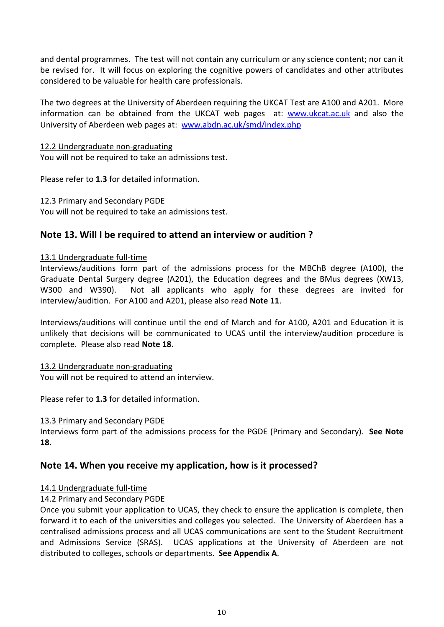and dental programmes. The test will not contain any curriculum or any science content; nor can it be revised for. It will focus on exploring the cognitive powers of candidates and other attributes considered to be valuable for health care professionals.

The two degrees at the University of Aberdeen requiring the UKCAT Test are A100 and A201. More information can be obtained from the UKCAT web pages at: [www.ukcat.ac.uk](http://www.ukcat.ac.uk/) and also the University of Aberdeen web pages at: [www.abdn.ac.uk/smd/index.php](http://www.abdn.ac.uk/smd/index.php)

#### 12.2 Undergraduate non-graduating

You will not be required to take an admissions test.

Please refer to **1.3** for detailed information.

#### 12.3 Primary and Secondary PGDE

You will not be required to take an admissions test.

### **Note 13. Will I be required to attend an interview or audition ?**

#### 13.1 Undergraduate full-time

Interviews/auditions form part of the admissions process for the MBChB degree (A100), the Graduate Dental Surgery degree (A201), the Education degrees and the BMus degrees (XW13, W300 and W390). Not all applicants who apply for these degrees are invited for interview/audition. For A100 and A201, please also read **Note 11**.

Interviews/auditions will continue until the end of March and for A100, A201 and Education it is unlikely that decisions will be communicated to UCAS until the interview/audition procedure is complete. Please also read **Note 18.**

#### 13.2 Undergraduate non-graduating

You will not be required to attend an interview.

Please refer to **1.3** for detailed information.

#### 13.3 Primary and Secondary PGDE

Interviews form part of the admissions process for the PGDE (Primary and Secondary). **See Note 18.**

# **Note 14. When you receive my application, how is it processed?**

#### 14.1 Undergraduate full-time

### 14.2 Primary and Secondary PGDE

Once you submit your application to UCAS, they check to ensure the application is complete, then forward it to each of the universities and colleges you selected. The University of Aberdeen has a centralised admissions process and all UCAS communications are sent to the Student Recruitment and Admissions Service (SRAS). UCAS applications at the University of Aberdeen are not distributed to colleges, schools or departments. **See Appendix A**.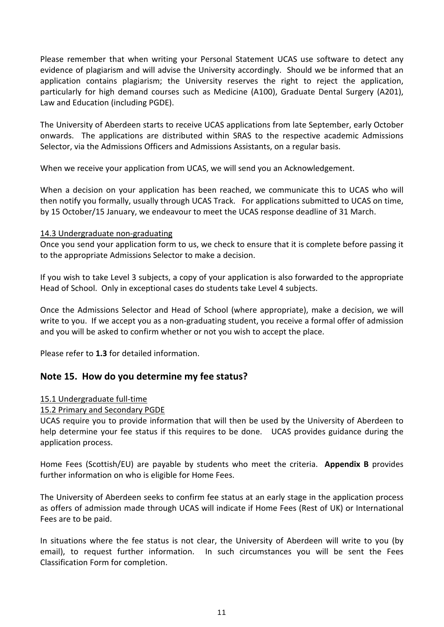Please remember that when writing your Personal Statement UCAS use software to detect any evidence of plagiarism and will advise the University accordingly. Should we be informed that an application contains plagiarism; the University reserves the right to reject the application, particularly for high demand courses such as Medicine (A100), Graduate Dental Surgery (A201), Law and Education (including PGDE).

The University of Aberdeen starts to receive UCAS applications from late September, early October onwards. The applications are distributed within SRAS to the respective academic Admissions Selector, via the Admissions Officers and Admissions Assistants, on a regular basis.

When we receive your application from UCAS, we will send you an Acknowledgement.

When a decision on your application has been reached, we communicate this to UCAS who will then notify you formally, usually through UCAS Track. For applications submitted to UCAS on time, by 15 October/15 January, we endeavour to meet the UCAS response deadline of 31 March.

#### 14.3 Undergraduate non-graduating

Once you send your application form to us, we check to ensure that it is complete before passing it to the appropriate Admissions Selector to make a decision.

If you wish to take Level 3 subjects, a copy of your application is also forwarded to the appropriate Head of School. Only in exceptional cases do students take Level 4 subjects.

Once the Admissions Selector and Head of School (where appropriate), make a decision, we will write to you. If we accept you as a non-graduating student, you receive a formal offer of admission and you will be asked to confirm whether or not you wish to accept the place.

Please refer to **1.3** for detailed information.

# **Note 15. How do you determine my fee status?**

#### 15.1 Undergraduate full-time

#### 15.2 Primary and Secondary PGDE

UCAS require you to provide information that will then be used by the University of Aberdeen to help determine your fee status if this requires to be done. UCAS provides guidance during the application process.

Home Fees (Scottish/EU) are payable by students who meet the criteria. **Appendix B** provides further information on who is eligible for Home Fees.

The University of Aberdeen seeks to confirm fee status at an early stage in the application process as offers of admission made through UCAS will indicate if Home Fees (Rest of UK) or International Fees are to be paid.

In situations where the fee status is not clear, the University of Aberdeen will write to you (by email), to request further information. In such circumstances you will be sent the Fees Classification Form for completion.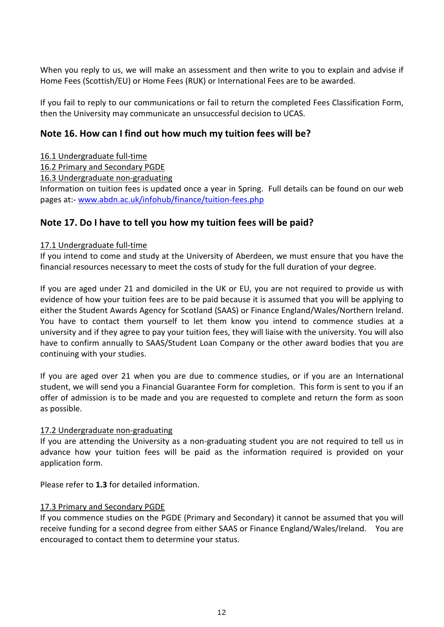When you reply to us, we will make an assessment and then write to you to explain and advise if Home Fees (Scottish/EU) or Home Fees (RUK) or International Fees are to be awarded.

If you fail to reply to our communications or fail to return the completed Fees Classification Form, then the University may communicate an unsuccessful decision to UCAS.

# **Note 16. How can I find out how much my tuition fees will be?**

### 16.1 Undergraduate full-time

# 16.2 Primary and Secondary PGDE

### 16.3 Undergraduate non-graduating

Information on tuition fees is updated once a year in Spring. Full details can be found on our web pages at:- [www.abdn.ac.uk/infohub/finance/tuition-fees.php](http://www.abdn.ac.uk/infohub/finance/tuition-fees.php)

# **Note 17. Do I have to tell you how my tuition fees will be paid?**

#### 17.1 Undergraduate full-time

If you intend to come and study at the University of Aberdeen, we must ensure that you have the financial resources necessary to meet the costs of study for the full duration of your degree.

If you are aged under 21 and domiciled in the UK or EU, you are not required to provide us with evidence of how your tuition fees are to be paid because it is assumed that you will be applying to either the Student Awards Agency for Scotland (SAAS) or Finance England/Wales/Northern Ireland. You have to contact them yourself to let them know you intend to commence studies at a university and if they agree to pay your tuition fees, they will liaise with the university. You will also have to confirm annually to SAAS/Student Loan Company or the other award bodies that you are continuing with your studies.

If you are aged over 21 when you are due to commence studies, or if you are an International student, we will send you a Financial Guarantee Form for completion. This form is sent to you if an offer of admission is to be made and you are requested to complete and return the form as soon as possible.

### 17.2 Undergraduate non-graduating

If you are attending the University as a non-graduating student you are not required to tell us in advance how your tuition fees will be paid as the information required is provided on your application form.

Please refer to **1.3** for detailed information.

#### 17.3 Primary and Secondary PGDE

If you commence studies on the PGDE (Primary and Secondary) it cannot be assumed that you will receive funding for a second degree from either SAAS or Finance England/Wales/Ireland. You are encouraged to contact them to determine your status.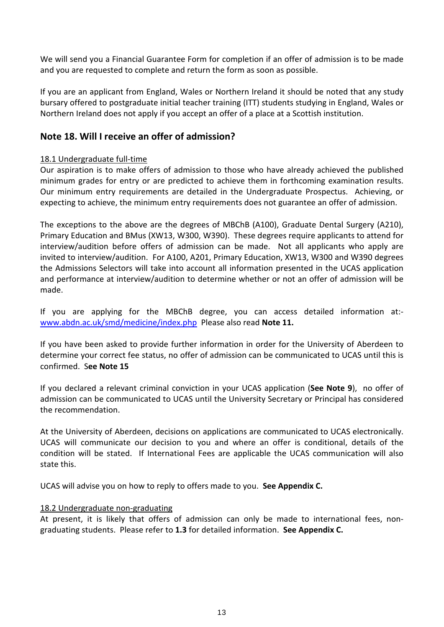We will send you a Financial Guarantee Form for completion if an offer of admission is to be made and you are requested to complete and return the form as soon as possible.

If you are an applicant from England, Wales or Northern Ireland it should be noted that any study bursary offered to postgraduate initial teacher training (ITT) students studying in England, Wales or Northern Ireland does not apply if you accept an offer of a place at a Scottish institution.

# **Note 18. Will I receive an offer of admission?**

### 18.1 Undergraduate full-time

Our aspiration is to make offers of admission to those who have already achieved the published minimum grades for entry or are predicted to achieve them in forthcoming examination results. Our minimum entry requirements are detailed in the Undergraduate Prospectus. Achieving, or expecting to achieve, the minimum entry requirements does not guarantee an offer of admission.

The exceptions to the above are the degrees of MBChB (A100), Graduate Dental Surgery (A210), Primary Education and BMus (XW13, W300, W390). These degrees require applicants to attend for interview/audition before offers of admission can be made. Not all applicants who apply are invited to interview/audition. For A100, A201, Primary Education, XW13, W300 and W390 degrees the Admissions Selectors will take into account all information presented in the UCAS application and performance at interview/audition to determine whether or not an offer of admission will be made.

If you are applying for the MBChB degree, you can access detailed information at: [www.abdn.ac.uk/smd/medicine/index.php](http://www.abdn.ac.uk/smd/medicine/index.php) Please also read **Note 11.**

If you have been asked to provide further information in order for the University of Aberdeen to determine your correct fee status, no offer of admission can be communicated to UCAS until this is confirmed. S**ee Note 15**

If you declared a relevant criminal conviction in your UCAS application (**See Note 9**), no offer of admission can be communicated to UCAS until the University Secretary or Principal has considered the recommendation.

At the University of Aberdeen, decisions on applications are communicated to UCAS electronically. UCAS will communicate our decision to you and where an offer is conditional, details of the condition will be stated. If International Fees are applicable the UCAS communication will also state this.

UCAS will advise you on how to reply to offers made to you. **See Appendix C.**

#### 18.2 Undergraduate non-graduating

At present, it is likely that offers of admission can only be made to international fees, nongraduating students. Please refer to **1.3** for detailed information. **See Appendix C.**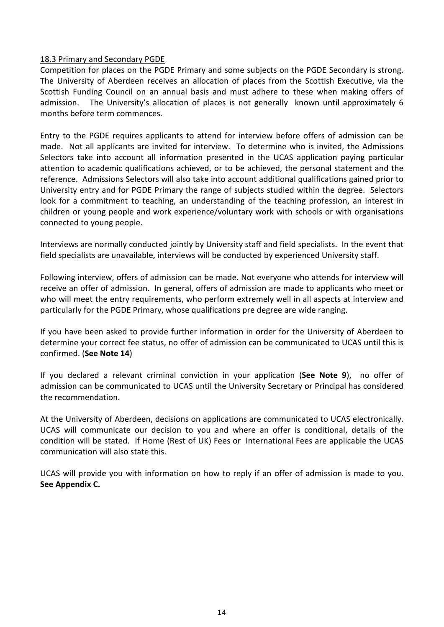#### 18.3 Primary and Secondary PGDE

Competition for places on the PGDE Primary and some subjects on the PGDE Secondary is strong. The University of Aberdeen receives an allocation of places from the Scottish Executive, via the Scottish Funding Council on an annual basis and must adhere to these when making offers of admission. The University's allocation of places is not generally known until approximately 6 months before term commences.

Entry to the PGDE requires applicants to attend for interview before offers of admission can be made. Not all applicants are invited for interview. To determine who is invited, the Admissions Selectors take into account all information presented in the UCAS application paying particular attention to academic qualifications achieved, or to be achieved, the personal statement and the reference. Admissions Selectors will also take into account additional qualifications gained prior to University entry and for PGDE Primary the range of subjects studied within the degree. Selectors look for a commitment to teaching, an understanding of the teaching profession, an interest in children or young people and work experience/voluntary work with schools or with organisations connected to young people.

Interviews are normally conducted jointly by University staff and field specialists. In the event that field specialists are unavailable, interviews will be conducted by experienced University staff.

Following interview, offers of admission can be made. Not everyone who attends for interview will receive an offer of admission. In general, offers of admission are made to applicants who meet or who will meet the entry requirements, who perform extremely well in all aspects at interview and particularly for the PGDE Primary, whose qualifications pre degree are wide ranging.

If you have been asked to provide further information in order for the University of Aberdeen to determine your correct fee status, no offer of admission can be communicated to UCAS until this is confirmed. (**See Note 14**)

If you declared a relevant criminal conviction in your application (**See Note 9**), no offer of admission can be communicated to UCAS until the University Secretary or Principal has considered the recommendation.

At the University of Aberdeen, decisions on applications are communicated to UCAS electronically. UCAS will communicate our decision to you and where an offer is conditional, details of the condition will be stated. If Home (Rest of UK) Fees or International Fees are applicable the UCAS communication will also state this.

UCAS will provide you with information on how to reply if an offer of admission is made to you. **See Appendix C.**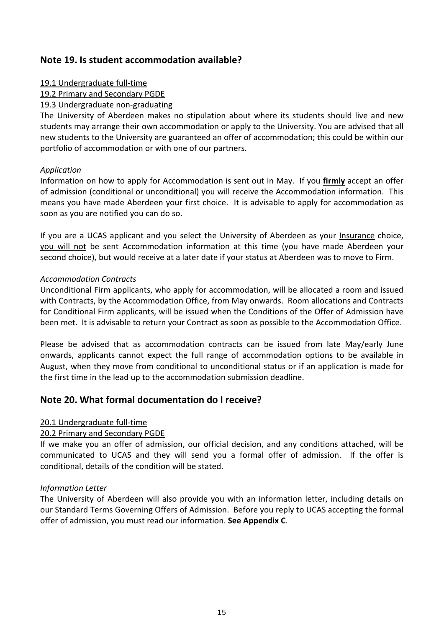# **Note 19. Is student accommodation available?**

#### 19.1 Undergraduate full-time

#### 19.2 Primary and Secondary PGDE

#### 19.3 Undergraduate non-graduating

The University of Aberdeen makes no stipulation about where its students should live and new students may arrange their own accommodation or apply to the University. You are advised that all new students to the University are guaranteed an offer of accommodation; this could be within our portfolio of accommodation or with one of our partners.

#### *Application*

Information on how to apply for Accommodation is sent out in May. If you **firmly** accept an offer of admission (conditional or unconditional) you will receive the Accommodation information. This means you have made Aberdeen your first choice. It is advisable to apply for accommodation as soon as you are notified you can do so.

If you are a UCAS applicant and you select the University of Aberdeen as your Insurance choice, you will not be sent Accommodation information at this time (you have made Aberdeen your second choice), but would receive at a later date if your status at Aberdeen was to move to Firm.

#### *Accommodation Contracts*

Unconditional Firm applicants, who apply for accommodation, will be allocated a room and issued with Contracts, by the Accommodation Office, from May onwards. Room allocations and Contracts for Conditional Firm applicants, will be issued when the Conditions of the Offer of Admission have been met. It is advisable to return your Contract as soon as possible to the Accommodation Office.

Please be advised that as accommodation contracts can be issued from late May/early June onwards, applicants cannot expect the full range of accommodation options to be available in August, when they move from conditional to unconditional status or if an application is made for the first time in the lead up to the accommodation submission deadline.

# **Note 20. What formal documentation do I receive?**

#### 20.1 Undergraduate full-time

### 20.2 Primary and Secondary PGDE

If we make you an offer of admission, our official decision, and any conditions attached, will be communicated to UCAS and they will send you a formal offer of admission. If the offer is conditional, details of the condition will be stated.

#### *Information Letter*

The University of Aberdeen will also provide you with an information letter, including details on our Standard Terms Governing Offers of Admission. Before you reply to UCAS accepting the formal offer of admission, you must read our information. **See Appendix C**.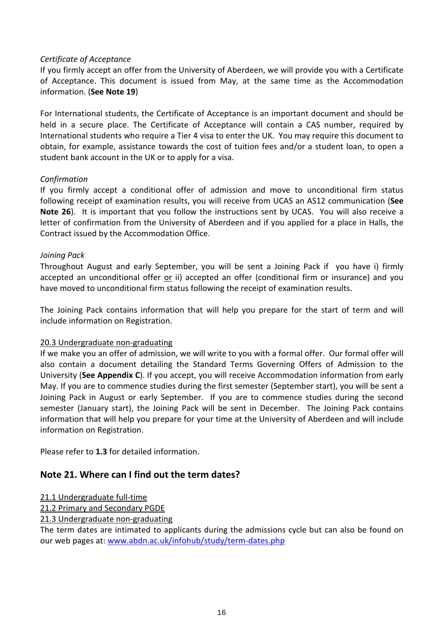#### *Certificate of Acceptance*

If you firmly accept an offer from the University of Aberdeen, we will provide you with a Certificate of Acceptance. This document is issued from May, at the same time as the Accommodation information. (**See Note 19**)

For International students, the Certificate of Acceptance is an important document and should be held in a secure place. The Certificate of Acceptance will contain a CAS number, required by International students who require a Tier 4 visa to enter the UK. You may require this document to obtain, for example, assistance towards the cost of tuition fees and/or a student loan, to open a student bank account in the UK or to apply for a visa.

#### *Confirmation*

If you firmly accept a conditional offer of admission and move to unconditional firm status following receipt of examination results, you will receive from UCAS an AS12 communication (**See Note 26**). It is important that you follow the instructions sent by UCAS. You will also receive a letter of confirmation from the University of Aberdeen and if you applied for a place in Halls, the Contract issued by the Accommodation Office.

#### *Joining Pack*

Throughout August and early September, you will be sent a Joining Pack if you have i) firmly accepted an unconditional offer or ii) accepted an offer (conditional firm or insurance) and you have moved to unconditional firm status following the receipt of examination results.

The Joining Pack contains information that will help you prepare for the start of term and will include information on Registration.

#### 20.3 Undergraduate non-graduating

If we make you an offer of admission, we will write to you with a formal offer. Our formal offer will also contain a document detailing the Standard Terms Governing Offers of Admission to the University (**See Appendix C**). If you accept, you will receive Accommodation information from early May. If you are to commence studies during the first semester (September start), you will be sent a Joining Pack in August or early September. If you are to commence studies during the second semester (January start), the Joining Pack will be sent in December. The Joining Pack contains information that will help you prepare for your time at the University of Aberdeen and will include information on Registration.

Please refer to **1.3** for detailed information.

# **Note 21. Where can I find out the term dates?**

21.1 Undergraduate full-time

21.2 Primary and Secondary PGDE

21.3 Undergraduate non-graduating

The term dates are intimated to applicants during the admissions cycle but can also be found on our web pages at: [www.abdn.ac.uk/infohub/study/term-dates.php](http://www.abdn.ac.uk/infohub/study/term-dates.php)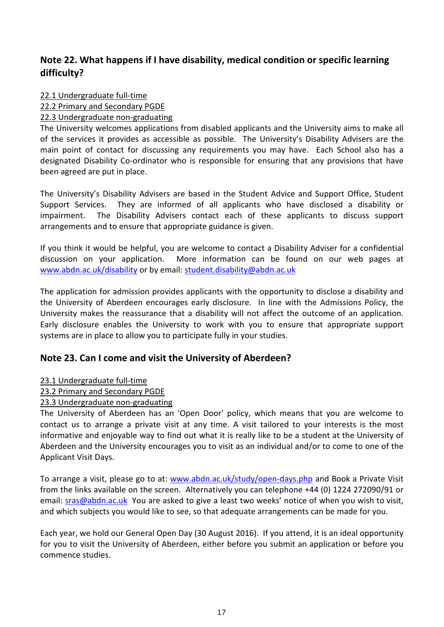# **Note 22. What happens if I have disability, medical condition or specific learning difficulty?**

22.1 Undergraduate full-time

22.2 Primary and Secondary PGDE

22.3 Undergraduate non-graduating

The University welcomes applications from disabled applicants and the University aims to make all of the services it provides as accessible as possible. The University's Disability Advisers are the main point of contact for discussing any requirements you may have. Each School also has a designated Disability Co-ordinator who is responsible for ensuring that any provisions that have been agreed are put in place.

The University's Disability Advisers are based in the Student Advice and Support Office, Student Support Services. They are informed of all applicants who have disclosed a disability or impairment. The Disability Advisers contact each of these applicants to discuss support arrangements and to ensure that appropriate guidance is given.

If you think it would be helpful, you are welcome to contact a Disability Adviser for a confidential discussion on your application. More information can be found on our web pages at [www.abdn.ac.uk/disability](http://www.abdn.ac.uk/disability) or by email: [student.disability@abdn.ac.uk](mailto:student.disability@abdn.ac.uk)

The application for admission provides applicants with the opportunity to disclose a disability and the University of Aberdeen encourages early disclosure. In line with the Admissions Policy, the University makes the reassurance that a disability will not affect the outcome of an application. Early disclosure enables the University to work with you to ensure that appropriate support systems are in place to allow you to participate fully in your studies.

# **Note 23. Can I come and visit the University of Aberdeen?**

### 23.1 Undergraduate full-time

### 23.2 Primary and Secondary PGDE

### 23.3 Undergraduate non-graduating

The University of Aberdeen has an 'Open Door' policy, which means that you are welcome to contact us to arrange a private visit at any time. A visit tailored to your interests is the most informative and enjoyable way to find out what it is really like to be a student at the University of Aberdeen and the University encourages you to visit as an individual and/or to come to one of the Applicant Visit Days.

To arrange a visit, please go to at: [www.abdn.ac.uk/study/open-days.php](http://www.abdn.ac.uk/study/open-days.php) and Book a Private Visit from the links available on the screen. Alternatively you can telephone +44 (0) 1224 272090/91 or email: **sras@abdn.ac.uk** You are asked to give a least two weeks' notice of when you wish to visit, and which subjects you would like to see, so that adequate arrangements can be made for you.

Each year, we hold our General Open Day (30 August 2016). If you attend, it is an ideal opportunity for you to visit the University of Aberdeen, either before you submit an application or before you commence studies.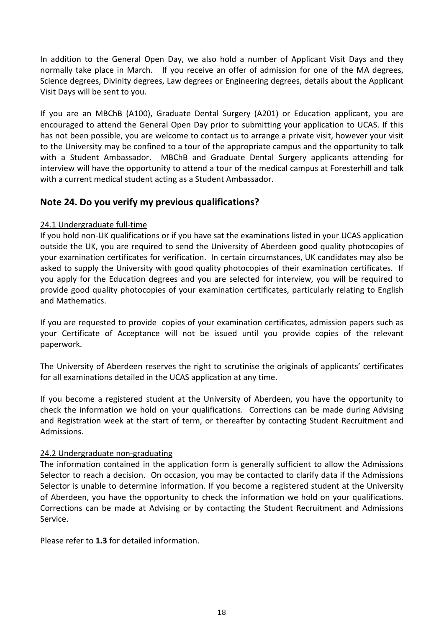In addition to the General Open Day, we also hold a number of Applicant Visit Days and they normally take place in March. If you receive an offer of admission for one of the MA degrees, Science degrees, Divinity degrees, Law degrees or Engineering degrees, details about the Applicant Visit Days will be sent to you.

If you are an MBChB (A100), Graduate Dental Surgery (A201) or Education applicant, you are encouraged to attend the General Open Day prior to submitting your application to UCAS. If this has not been possible, you are welcome to contact us to arrange a private visit, however your visit to the University may be confined to a tour of the appropriate campus and the opportunity to talk with a Student Ambassador. MBChB and Graduate Dental Surgery applicants attending for interview will have the opportunity to attend a tour of the medical campus at Foresterhill and talk with a current medical student acting as a Student Ambassador.

# **Note 24. Do you verify my previous qualifications?**

### 24.1 Undergraduate full-time

If you hold non-UK qualifications or if you have sat the examinations listed in your UCAS application outside the UK, you are required to send the University of Aberdeen good quality photocopies of your examination certificates for verification. In certain circumstances, UK candidates may also be asked to supply the University with good quality photocopies of their examination certificates. If you apply for the Education degrees and you are selected for interview, you will be required to provide good quality photocopies of your examination certificates, particularly relating to English and Mathematics.

If you are requested to provide copies of your examination certificates, admission papers such as your Certificate of Acceptance will not be issued until you provide copies of the relevant paperwork.

The University of Aberdeen reserves the right to scrutinise the originals of applicants' certificates for all examinations detailed in the UCAS application at any time.

If you become a registered student at the University of Aberdeen, you have the opportunity to check the information we hold on your qualifications. Corrections can be made during Advising and Registration week at the start of term, or thereafter by contacting Student Recruitment and Admissions.

#### 24.2 Undergraduate non-graduating

The information contained in the application form is generally sufficient to allow the Admissions Selector to reach a decision. On occasion, you may be contacted to clarify data if the Admissions Selector is unable to determine information. If you become a registered student at the University of Aberdeen, you have the opportunity to check the information we hold on your qualifications. Corrections can be made at Advising or by contacting the Student Recruitment and Admissions Service.

Please refer to **1.3** for detailed information.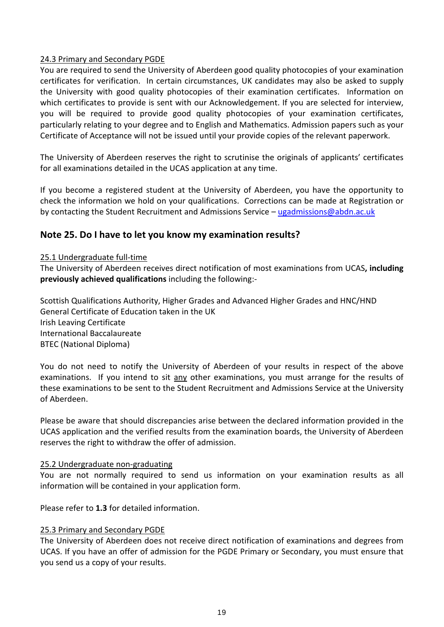#### 24.3 Primary and Secondary PGDE

You are required to send the University of Aberdeen good quality photocopies of your examination certificates for verification. In certain circumstances, UK candidates may also be asked to supply the University with good quality photocopies of their examination certificates. Information on which certificates to provide is sent with our Acknowledgement. If you are selected for interview, you will be required to provide good quality photocopies of your examination certificates, particularly relating to your degree and to English and Mathematics. Admission papers such as your Certificate of Acceptance will not be issued until your provide copies of the relevant paperwork.

The University of Aberdeen reserves the right to scrutinise the originals of applicants' certificates for all examinations detailed in the UCAS application at any time.

If you become a registered student at the University of Aberdeen, you have the opportunity to check the information we hold on your qualifications. Corrections can be made at Registration or by contacting the Student Recruitment and Admissions Service - [ugadmissions@abdn.ac.uk](mailto:ugadmissions@abdn.ac.uk)

# **Note 25. Do I have to let you know my examination results?**

#### 25.1 Undergraduate full-time

The University of Aberdeen receives direct notification of most examinations from UCAS**, including previously achieved qualifications** including the following:-

Scottish Qualifications Authority, Higher Grades and Advanced Higher Grades and HNC/HND General Certificate of Education taken in the UK Irish Leaving Certificate International Baccalaureate BTEC (National Diploma)

You do not need to notify the University of Aberdeen of your results in respect of the above examinations. If you intend to sit any other examinations, you must arrange for the results of these examinations to be sent to the Student Recruitment and Admissions Service at the University of Aberdeen.

Please be aware that should discrepancies arise between the declared information provided in the UCAS application and the verified results from the examination boards, the University of Aberdeen reserves the right to withdraw the offer of admission.

#### 25.2 Undergraduate non-graduating

You are not normally required to send us information on your examination results as all information will be contained in your application form.

Please refer to **1.3** for detailed information.

#### 25.3 Primary and Secondary PGDE

The University of Aberdeen does not receive direct notification of examinations and degrees from UCAS. If you have an offer of admission for the PGDE Primary or Secondary, you must ensure that you send us a copy of your results.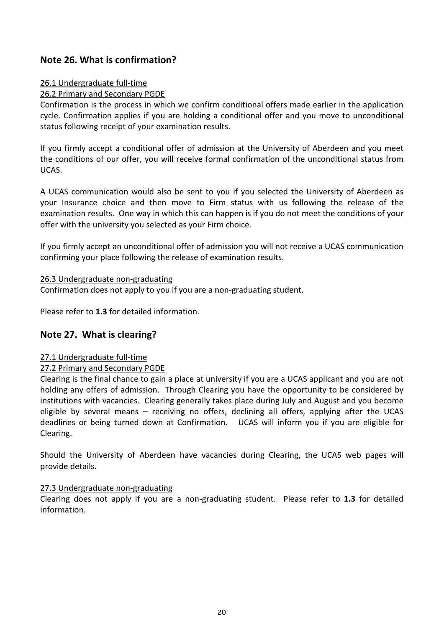# **Note 26. What is confirmation?**

#### 26.1 Undergraduate full-time

#### 26.2 Primary and Secondary PGDE

Confirmation is the process in which we confirm conditional offers made earlier in the application cycle. Confirmation applies if you are holding a conditional offer and you move to unconditional status following receipt of your examination results.

If you firmly accept a conditional offer of admission at the University of Aberdeen and you meet the conditions of our offer, you will receive formal confirmation of the unconditional status from UCAS.

A UCAS communication would also be sent to you if you selected the University of Aberdeen as your Insurance choice and then move to Firm status with us following the release of the examination results. One way in which this can happen is if you do not meet the conditions of your offer with the university you selected as your Firm choice.

If you firmly accept an unconditional offer of admission you will not receive a UCAS communication confirming your place following the release of examination results.

#### 26.3 Undergraduate non-graduating

Confirmation does not apply to you if you are a non-graduating student.

Please refer to **1.3** for detailed information.

# **Note 27. What is clearing?**

### 27.1 Undergraduate full-time

### 27.2 Primary and Secondary PGDE

Clearing is the final chance to gain a place at university if you are a UCAS applicant and you are not holding any offers of admission. Through Clearing you have the opportunity to be considered by institutions with vacancies. Clearing generally takes place during July and August and you become eligible by several means – receiving no offers, declining all offers, applying after the UCAS deadlines or being turned down at Confirmation. UCAS will inform you if you are eligible for Clearing.

Should the University of Aberdeen have vacancies during Clearing, the UCAS web pages will provide details.

### 27.3 Undergraduate non-graduating

Clearing does not apply if you are a non-graduating student. Please refer to **1.3** for detailed information.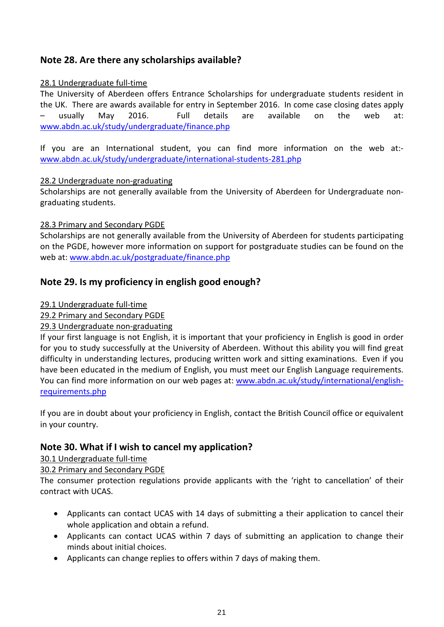# **Note 28. Are there any scholarships available?**

### 28.1 Undergraduate full-time

The University of Aberdeen offers Entrance Scholarships for undergraduate students resident in the UK. There are awards available for entry in September 2016. In come case closing dates apply – usually May 2016. Full details are available on the web at: [www.abdn.ac.uk/study/undergraduate/finance.php](http://www.abdn.ac.uk/study/undergraduate/finance.php)

If you are an International student, you can find more information on the web at: [www.abdn.ac.uk/study/undergraduate/international-students-281.php](http://www.abdn.ac.uk/study/undergraduate/international-students-281.php)

### 28.2 Undergraduate non-graduating

Scholarships are not generally available from the University of Aberdeen for Undergraduate nongraduating students.

# 28.3 Primary and Secondary PGDE

Scholarships are not generally available from the University of Aberdeen for students participating on the PGDE, however more information on support for postgraduate studies can be found on the web at: [www.abdn.ac.uk/postgraduate/finance.php](http://www.abdn.ac.uk/postgraduate/finance.php)

# **Note 29. Is my proficiency in english good enough?**

### 29.1 Undergraduate full-time

# 29.2 Primary and Secondary PGDE

# 29.3 Undergraduate non-graduating

If your first language is not English, it is important that your proficiency in English is good in order for you to study successfully at the University of Aberdeen. Without this ability you will find great difficulty in understanding lectures, producing written work and sitting examinations. Even if you have been educated in the medium of English, you must meet our English Language requirements. You can find more information on our web pages at: [www.abdn.ac.uk/study/international/english](http://www.abdn.ac.uk/study/international/english-requirements.php)[requirements.php](http://www.abdn.ac.uk/study/international/english-requirements.php)

If you are in doubt about your proficiency in English, contact the British Council office or equivalent in your country.

# **Note 30. What if I wish to cancel my application?**

### 30.1 Undergraduate full-time

### 30.2 Primary and Secondary PGDE

The consumer protection regulations provide applicants with the 'right to cancellation' of their contract with UCAS.

- Applicants can contact UCAS with 14 days of submitting a their application to cancel their whole application and obtain a refund.
- Applicants can contact UCAS within 7 days of submitting an application to change their minds about initial choices.
- Applicants can change replies to offers within 7 days of making them.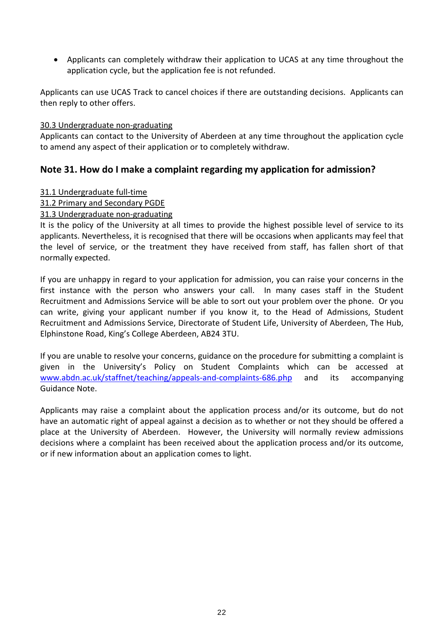• Applicants can completely withdraw their application to UCAS at any time throughout the application cycle, but the application fee is not refunded.

Applicants can use UCAS Track to cancel choices if there are outstanding decisions. Applicants can then reply to other offers.

#### 30.3 Undergraduate non-graduating

Applicants can contact to the University of Aberdeen at any time throughout the application cycle to amend any aspect of their application or to completely withdraw.

# **Note 31. How do I make a complaint regarding my application for admission?**

#### 31.1 Undergraduate full-time

### 31.2 Primary and Secondary PGDE

### 31.3 Undergraduate non-graduating

It is the policy of the University at all times to provide the highest possible level of service to its applicants. Nevertheless, it is recognised that there will be occasions when applicants may feel that the level of service, or the treatment they have received from staff, has fallen short of that normally expected.

If you are unhappy in regard to your application for admission, you can raise your concerns in the first instance with the person who answers your call. In many cases staff in the Student Recruitment and Admissions Service will be able to sort out your problem over the phone. Or you can write, giving your applicant number if you know it, to the Head of Admissions, Student Recruitment and Admissions Service, Directorate of Student Life, University of Aberdeen, The Hub, Elphinstone Road, King's College Aberdeen, AB24 3TU.

If you are unable to resolve your concerns, guidance on the procedure for submitting a complaint is given in the University's Policy on Student Complaints which can be accessed at [www.abdn.ac.uk/staffnet/teaching/appeals-and-complaints-686.php](http://www.abdn.ac.uk/staffnet/teaching/appeals-and-complaints-686.php) and its accompanying Guidance Note.

Applicants may raise a complaint about the application process and/or its outcome, but do not have an automatic right of appeal against a decision as to whether or not they should be offered a place at the University of Aberdeen. However, the University will normally review admissions decisions where a complaint has been received about the application process and/or its outcome, or if new information about an application comes to light.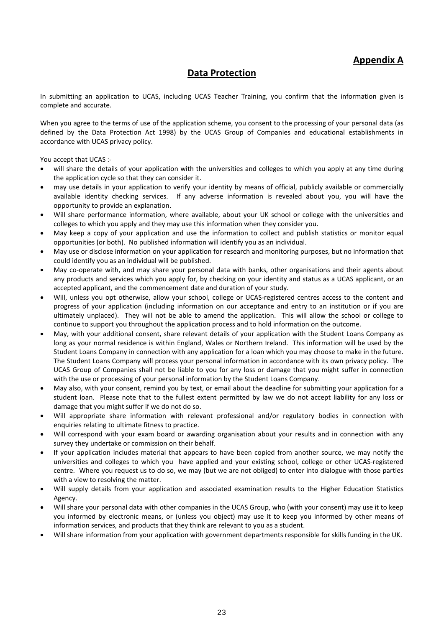# **Data Protection**

In submitting an application to UCAS, including UCAS Teacher Training, you confirm that the information given is complete and accurate.

When you agree to the terms of use of the application scheme, you consent to the processing of your personal data (as defined by the Data Protection Act 1998) by the UCAS Group of Companies and educational establishments in accordance with UCAS privacy policy.

You accept that UCAS :-

- will share the details of your application with the universities and colleges to which you apply at any time during the application cycle so that they can consider it.
- may use details in your application to verify your identity by means of official, publicly available or commercially available identity checking services. If any adverse information is revealed about you, you will have the opportunity to provide an explanation.
- Will share performance information, where available, about your UK school or college with the universities and colleges to which you apply and they may use this information when they consider you.
- May keep a copy of your application and use the information to collect and publish statistics or monitor equal opportunities (or both). No published information will identify you as an individual.
- May use or disclose information on your application for research and monitoring purposes, but no information that could identify you as an individual will be published.
- May co-operate with, and may share your personal data with banks, other organisations and their agents about any products and services which you apply for, by checking on your identity and status as a UCAS applicant, or an accepted applicant, and the commencement date and duration of your study.
- Will, unless you opt otherwise, allow your school, college or UCAS-registered centres access to the content and progress of your application (including information on our acceptance and entry to an institution or if you are ultimately unplaced). They will not be able to amend the application. This will allow the school or college to continue to support you throughout the application process and to hold information on the outcome.
- May, with your additional consent, share relevant details of your application with the Student Loans Company as long as your normal residence is within England, Wales or Northern Ireland. This information will be used by the Student Loans Company in connection with any application for a loan which you may choose to make in the future. The Student Loans Company will process your personal information in accordance with its own privacy policy. The UCAS Group of Companies shall not be liable to you for any loss or damage that you might suffer in connection with the use or processing of your personal information by the Student Loans Company.
- May also, with your consent, remind you by text, or email about the deadline for submitting your application for a student loan. Please note that to the fullest extent permitted by law we do not accept liability for any loss or damage that you might suffer if we do not do so.
- Will appropriate share information with relevant professional and/or regulatory bodies in connection with enquiries relating to ultimate fitness to practice.
- Will correspond with your exam board or awarding organisation about your results and in connection with any survey they undertake or commission on their behalf.
- If your application includes material that appears to have been copied from another source, we may notify the universities and colleges to which you have applied and your existing school, college or other UCAS-registered centre. Where you request us to do so, we may (but we are not obliged) to enter into dialogue with those parties with a view to resolving the matter.
- Will supply details from your application and associated examination results to the Higher Education Statistics Agency.
- Will share your personal data with other companies in the UCAS Group, who (with your consent) may use it to keep you informed by electronic means, or (unless you object) may use it to keep you informed by other means of information services, and products that they think are relevant to you as a student.
- Will share information from your application with government departments responsible for skills funding in the UK.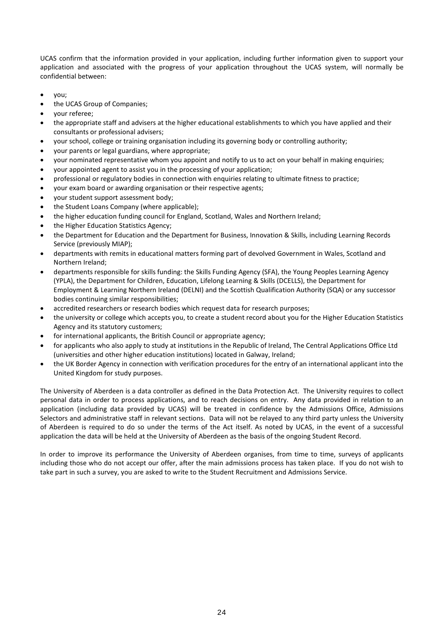UCAS confirm that the information provided in your application, including further information given to support your application and associated with the progress of your application throughout the UCAS system, will normally be confidential between:

- you;
- the UCAS Group of Companies;
- your referee;
- the appropriate staff and advisers at the higher educational establishments to which you have applied and their consultants or professional advisers;
- your school, college or training organisation including its governing body or controlling authority;
- your parents or legal guardians, where appropriate;
- your nominated representative whom you appoint and notify to us to act on your behalf in making enquiries;
- your appointed agent to assist you in the processing of your application;
- professional or regulatory bodies in connection with enquiries relating to ultimate fitness to practice;
- your exam board or awarding organisation or their respective agents;
- your student support assessment body;
- the Student Loans Company (where applicable);
- the higher education funding council for England, Scotland, Wales and Northern Ireland;
- the Higher Education Statistics Agency;
- the Department for Education and the Department for Business, Innovation & Skills, including Learning Records Service (previously MIAP);
- departments with remits in educational matters forming part of devolved Government in Wales, Scotland and Northern Ireland;
- departments responsible for skills funding: the Skills Funding Agency (SFA), the Young Peoples Learning Agency (YPLA), the Department for Children, Education, Lifelong Learning & Skills (DCELLS), the Department for Employment & Learning Northern Ireland (DELNI) and the Scottish Qualification Authority (SQA) or any successor bodies continuing similar responsibilities;
- accredited researchers or research bodies which request data for research purposes;
- the university or college which accepts you, to create a student record about you for the Higher Education Statistics Agency and its statutory customers;
- for international applicants, the British Council or appropriate agency;
- for applicants who also apply to study at institutions in the Republic of Ireland, The Central Applications Office Ltd (universities and other higher education institutions) located in Galway, Ireland;
- the UK Border Agency in connection with verification procedures for the entry of an international applicant into the United Kingdom for study purposes.

The University of Aberdeen is a data controller as defined in the Data Protection Act. The University requires to collect personal data in order to process applications, and to reach decisions on entry. Any data provided in relation to an application (including data provided by UCAS) will be treated in confidence by the Admissions Office, Admissions Selectors and administrative staff in relevant sections. Data will not be relayed to any third party unless the University of Aberdeen is required to do so under the terms of the Act itself. As noted by UCAS, in the event of a successful application the data will be held at the University of Aberdeen as the basis of the ongoing Student Record.

In order to improve its performance the University of Aberdeen organises, from time to time, surveys of applicants including those who do not accept our offer, after the main admissions process has taken place. If you do not wish to take part in such a survey, you are asked to write to the Student Recruitment and Admissions Service.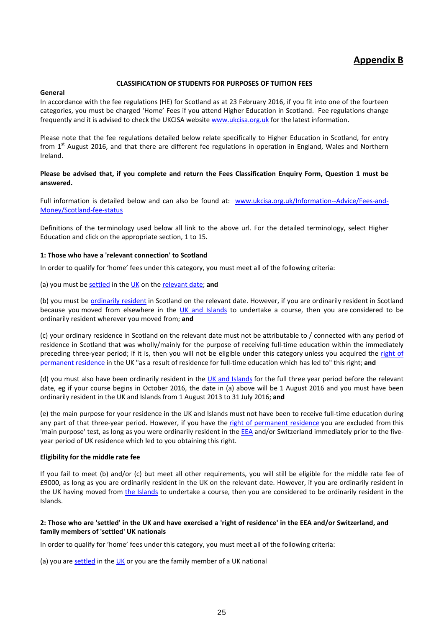# **Appendix B**

#### **CLASSIFICATION OF STUDENTS FOR PURPOSES OF TUITION FEES**

#### **General**

In accordance with the fee regulations (HE) for Scotland as at 23 February 2016, if you fit into one of the fourteen categories, you must be charged 'Home' Fees if you attend Higher Education in Scotland. Fee regulations change frequently and it is advised to check the UKCISA website [www.ukcisa.org.uk](http://www.ukcisa.org.uk/) for the latest information.

Please note that the fee regulations detailed below relate specifically to Higher Education in Scotland, for entry from  $1<sup>st</sup>$  August 2016, and that there are different fee regulations in operation in England, Wales and Northern Ireland.

#### **Please be advised that, if you complete and return the Fees Classification Enquiry Form, Question 1 must be answered.**

Full information is detailed below and can also be found at: [www.ukcisa.org.uk/Information--Advice/Fees-and-](http://www.ukcisa.org.uk/Information--Advice/Fees-and-Money/Scotland-fee-status)[Money/Scotland-fee-status](http://www.ukcisa.org.uk/Information--Advice/Fees-and-Money/Scotland-fee-status)

Definitions of the terminology used below all link to the above url. For the detailed terminology, select Higher Education and click on the appropriate section, 1 to 15.

#### **1: Those who have a 'relevant connection' to Scotland**

In order to qualify for 'home' fees under this category, you must meet all of the following criteria:

(a) you must b[e settled](http://www.ukcisa.org.uk/Information--Advice/Fees-and-Money/Scotland-fee-status#RL) in th[e UK](http://www.ukcisa.org.uk/Information--Advice/Fees-and-Money/Scotland-fee-status#RL) on the [relevant date;](http://www.ukcisa.org.uk/Information--Advice/Fees-and-Money/Scotland-fee-status#RL) **and**

(b) you must be [ordinarily resident](http://www.ukcisa.org.uk/Information--Advice/Fees-and-Money/Scotland-fee-status#RL) in Scotland on the relevant date. However, if you are ordinarily resident in Scotland because you moved from elsewhere in the [UK and Islands](http://www.ukcisa.org.uk/Information--Advice/Fees-and-Money/Scotland-fee-status#RL) to undertake a course, then you are considered to be ordinarily resident wherever you moved from; **and**

(c) your ordinary residence in Scotland on the relevant date must not be attributable to / connected with any period of residence in Scotland that was wholly/mainly for the purpose of receiving full-time education within the immediately preceding three-year period; if it is, then you will not be eligible under this category unless you acquired the right of [permanent residence](http://www.ukcisa.org.uk/Information--Advice/Fees-and-Money/Scotland-fee-status#RL) in the UK "as a result of residence for full-time education which has led to" this right; **and**

(d) you must also have been ordinarily resident in the  $UK$  and Islands for the full three year period before the relevant date, eg if your course begins in October 2016, the date in (a) above will be 1 August 2016 and you must have been ordinarily resident in the UK and Islands from 1 August 2013 to 31 July 2016; **and**

(e) the main purpose for your residence in the UK and Islands must not have been to receive full-time education during any part of that three-year period. However, if you have the [right of permanent residence](http://www.ukcisa.org.uk/Information--Advice/Fees-and-Money/Scotland-fee-status#RL) you are excluded from this 'main purpose' test, as long as you were ordinarily resident in the **EEA** and/or Switzerland immediately prior to the fiveyear period of UK residence which led to you obtaining this right.

#### **Eligibility for the middle rate fee**

If you fail to meet (b) and/or (c) but meet all other requirements, you will still be eligible for the middle rate fee of £9000, as long as you are ordinarily resident in the UK on the relevant date. However, if you are ordinarily resident in the UK having moved from [the Islands](http://www.ukcisa.org.uk/Information--Advice/Fees-and-Money/Scotland-fee-status#RL) to undertake a course, then you are considered to be ordinarily resident in the Islands.

#### **2: Those who are 'settled' in the UK and have exercised a 'right of residence' in the EEA and/or Switzerland, and family members of 'settled' UK nationals**

In order to qualify for 'home' fees under this category, you must meet all of the following criteria:

(a) you are [settled](http://www.ukcisa.org.uk/Information--Advice/Fees-and-Money/Scotland-fee-status#RL) in the  $UK$  or you are the family member of a [UK](http://www.ukcisa.org.uk/Information--Advice/Fees-and-Money/Scotland-fee-status#RL) national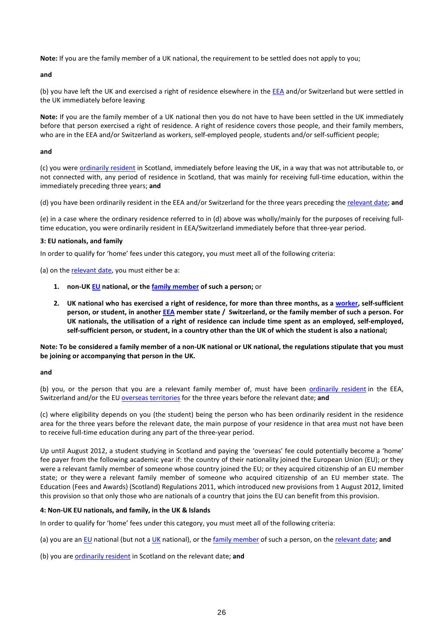**Note:** If you are the family member of a UK national, the requirement to be settled does not apply to you;

**and**

(b) you have left the UK and exercised a right of residence elsewhere in the **EEA** and/or Switzerland but were settled in the UK immediately before leaving

**Note:** If you are the family member of a UK national then you do not have to have been settled in the UK immediately before that person exercised a right of residence. A right of residence covers those people, and their family members, who are in the EEA and/or Switzerland as workers, self-employed people, students and/or self-sufficient people;

**and**

(c) you were [ordinarily resident](http://www.ukcisa.org.uk/Information--Advice/Fees-and-Money/Scotland-fee-status#RL) in Scotland, immediately before leaving the UK, in a way that was not attributable to, or not connected with, any period of residence in Scotland, that was mainly for receiving full-time education, within the immediately preceding three years; **and**

(d) you have been ordinarily resident in the EEA and/or Switzerland for the three years preceding the [relevant date;](http://www.ukcisa.org.uk/Information--Advice/Fees-and-Money/Scotland-fee-status#RL) **and**

(e) in a case where the ordinary residence referred to in (d) above was wholly/mainly for the purposes of receiving fulltime education, you were ordinarily resident in EEA/Switzerland immediately before that three-year period.

#### **3: EU nationals, and family**

In order to qualify for 'home' fees under this category, you must meet all of the following criteria:

(a) on th[e relevant date,](http://www.ukcisa.org.uk/Information--Advice/Fees-and-Money/Scotland-fee-status#RL) you must either be a:

- **1. non-U[K EU](http://www.ukcisa.org.uk/Information--Advice/Fees-and-Money/Scotland-fee-status#RL) national, or th[e family member](http://www.ukcisa.org.uk/Information--Advice/Fees-and-Money/Scotland-fee-status#RL) of such a person;** or
- **2. UK national who has exercised a right of residence, for more than three months, as a [worker,](http://www.ukcisa.org.uk/Information--Advice/Fees-and-Money/Scotland-fee-status#RL) self-sufficient person, or student, in anothe[r EEA](http://www.ukcisa.org.uk/Information--Advice/Fees-and-Money/Scotland-fee-status#RL) member state / Switzerland, or the family member of such a person. For UK nationals, the utilisation of a right of residence can include time spent as an employed, self-employed, self-sufficient person, or student, in a country other than the UK of which the student is also a national;**

**Note: To be considered a family member of a non-UK national or UK national, the regulations stipulate that you must be joining or accompanying that person in the UK.**

#### **and**

(b) you, or the person that you are a relevant family member of, must have been [ordinarily resident](http://www.ukcisa.org.uk/Information--Advice/Fees-and-Money/Scotland-fee-status#RL) in the EEA, Switzerland and/or the EU [overseas territories](http://www.ukcisa.org.uk/Information--Advice/Fees-and-Money/Scotland-fee-status#RL) for the three years before the relevant date; **and**

(c) where eligibility depends on you (the student) being the person who has been ordinarily resident in the residence area for the three years before the relevant date, the main purpose of your residence in that area must not have been to receive full-time education during any part of the three-year period.

Up until August 2012, a student studying in Scotland and paying the 'overseas' fee could potentially become a 'home' fee payer from the following academic year if: the country of their nationality joined the European Union (EU); or they were a relevant family member of someone whose country joined the EU; or they acquired citizenship of an EU member state; or they were a relevant family member of someone who acquired citizenship of an EU member state. The Education (Fees and Awards) (Scotland) Regulations 2011, which introduced new provisions from 1 August 2012, limited this provision so that only those who are nationals of a country that joins the EU can benefit from this provision.

#### **4: Non-UK EU nationals, and family, in the UK & Islands**

In order to qualify for 'home' fees under this category, you must meet all of the following criteria:

(a) you are an [EU](http://www.ukcisa.org.uk/Information--Advice/Fees-and-Money/Scotland-fee-status#RL) national (but not a [UK](http://www.ukcisa.org.uk/Information--Advice/Fees-and-Money/Scotland-fee-status#RL) national), or the [family member](http://www.ukcisa.org.uk/Information--Advice/Fees-and-Money/Scotland-fee-status#RL) of such a person, on th[e relevant date;](http://www.ukcisa.org.uk/Information--Advice/Fees-and-Money/Scotland-fee-status#RL) **and**

(b) you are **ordinarily resident** in Scotland on the relevant date; and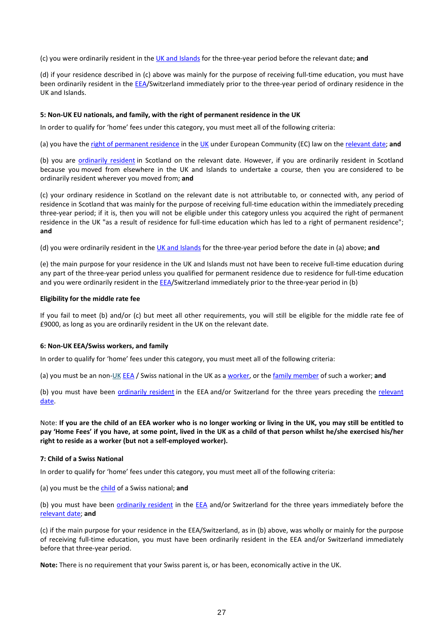(c) you were ordinarily resident in the UK [and Islands](http://www.ukcisa.org.uk/Information--Advice/Fees-and-Money/Scotland-fee-status#RL) for the three-year period before the relevant date; **and**

(d) if your residence described in (c) above was mainly for the purpose of receiving full-time education, you must have been ordinarily resident in the [EEA/](http://www.ukcisa.org.uk/Information--Advice/Fees-and-Money/Scotland-fee-status#RL)Switzerland immediately prior to the three-year period of ordinary residence in the UK and Islands.

#### **5: Non-UK EU nationals, and family, with the right of permanent residence in the UK**

In order to qualify for 'home' fees under this category, you must meet all of the following criteria:

(a) you have the [right of permanent residence](http://www.ukcisa.org.uk/Information--Advice/Fees-and-Money/Scotland-fee-status#RL) in th[e UK](http://www.ukcisa.org.uk/Information--Advice/Fees-and-Money/Scotland-fee-status#RL) under European Community (EC) law on th[e relevant date;](http://www.ukcisa.org.uk/Information--Advice/Fees-and-Money/Scotland-fee-status#RL) **and**

(b) you are [ordinarily resident](http://www.ukcisa.org.uk/Information--Advice/Fees-and-Money/Scotland-fee-status#RL) in Scotland on the relevant date. However, if you are ordinarily resident in Scotland because you moved from elsewhere in the UK and Islands to undertake a course, then you are considered to be ordinarily resident wherever you moved from; **and**

(c) your ordinary residence in Scotland on the relevant date is not attributable to, or connected with, any period of residence in Scotland that was mainly for the purpose of receiving full-time education within the immediately preceding three-year period; if it is, then you will not be eligible under this category unless you acquired the right of permanent residence in the UK "as a result of residence for full-time education which has led to a right of permanent residence"; **and**

(d) you were ordinarily resident in th[e UK and Islands](http://www.ukcisa.org.uk/Information--Advice/Fees-and-Money/Scotland-fee-status#RL) for the three-year period before the date in (a) above; **and**

(e) the main purpose for your residence in the UK and Islands must not have been to receive full-time education during any part of the three-year period unless you qualified for permanent residence due to residence for full-time education and you were ordinarily resident in th[e EEA/](http://www.ukcisa.org.uk/Information--Advice/Fees-and-Money/Scotland-fee-status#RL)Switzerland immediately prior to the three-year period in (b)

#### **Eligibility for the middle rate fee**

If you fail to meet (b) and/or (c) but meet all other requirements, you will still be eligible for the middle rate fee of £9000, as long as you are ordinarily resident in the UK on the relevant date.

#### **6: Non-UK EEA/Swiss workers, and family**

In order to qualify for 'home' fees under this category, you must meet all of the following criteria:

(a) you must be an non[-UK](http://www.ukcisa.org.uk/International-Students/Fees--finance/Home-or-Overseas-fees/Definitions/#uk_islands) [EEA](http://www.ukcisa.org.uk/Information--Advice/Fees-and-Money/Scotland-fee-status#RL) / Swiss national in the UK as [a worker,](http://www.ukcisa.org.uk/Information--Advice/Fees-and-Money/Scotland-fee-status#RL) or the [family member](http://www.ukcisa.org.uk/Information--Advice/Fees-and-Money/Scotland-fee-status#RL) of such a worker; and

(b) you must have been [ordinarily resident](http://www.ukcisa.org.uk/Information--Advice/Fees-and-Money/Scotland-fee-status#RL) in the EEA and/or Switzerland for the three years preceding the [relevant](http://www.ukcisa.org.uk/Information--Advice/Fees-and-Money/Scotland-fee-status#RL)  [date.](http://www.ukcisa.org.uk/Information--Advice/Fees-and-Money/Scotland-fee-status#RL)

Note: **If you are the child of an EEA worker who is no longer working or living in the UK, you may still be entitled to pay 'Home Fees' if you have, at some point, lived in the UK as a child of that person whilst he/she exercised his/her right to reside as a worker (but not a self-employed worker).**

#### **7: Child of a Swiss National**

In order to qualify for 'home' fees under this category, you must meet all of the following criteria:

(a) you must be th[e child](http://www.ukcisa.org.uk/Information--Advice/Fees-and-Money/Scotland-fee-status#RL) of a Swiss national; **and**

(b) you must have been [ordinarily resident](http://www.ukcisa.org.uk/Information--Advice/Fees-and-Money/Scotland-fee-status#RL) in the [EEA](http://www.ukcisa.org.uk/Information--Advice/Fees-and-Money/Scotland-fee-status#RL) and/or Switzerland for the three years immediately before the [relevant date;](http://www.ukcisa.org.uk/Information--Advice/Fees-and-Money/Scotland-fee-status#RL) **and**

(c) if the main purpose for your residence in the EEA/Switzerland, as in (b) above, was wholly or mainly for the purpose of receiving full-time education, you must have been ordinarily resident in the EEA and/or Switzerland immediately before that three-year period.

**Note:** There is no requirement that your Swiss parent is, or has been, economically active in the UK.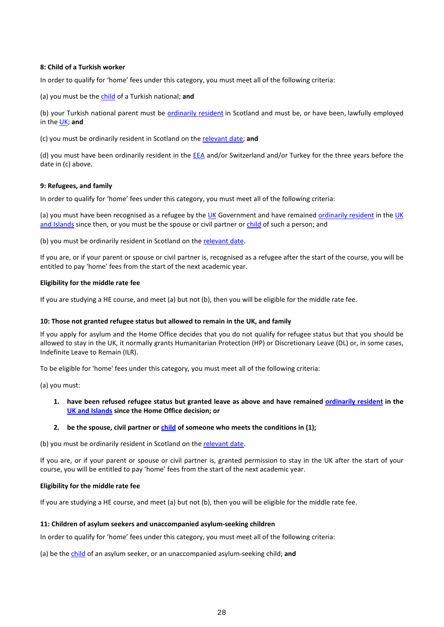#### **8: Child of a Turkish worker**

In order to qualify for 'home' fees under this category, you must meet all of the following criteria:

(a) you must be th[e child](http://www.ukcisa.org.uk/Information--Advice/Fees-and-Money/Scotland-fee-status#RL) of a Turkish national; **and**

(b) your Turkish national parent must be [ordinarily resident](http://www.ukcisa.org.uk/Information--Advice/Fees-and-Money/Scotland-fee-status#RL) in Scotland and must be, or have been, lawfully employed in th[e UK;](http://www.ukcisa.org.uk/Information--Advice/Fees-and-Money/Scotland-fee-status#RL) **and**

(c) you must be ordinarily resident in Scotland on the [relevant date;](http://www.ukcisa.org.uk/Information--Advice/Fees-and-Money/Scotland-fee-status#RL) **and**

(d) you must have been ordinarily resident in the **EEA** and/or Switzerland and/or Turkey for the three years before the date in (c) above.

#### **9: Refugees, and family**

In order to qualify for 'home' fees under this category, you must meet all of the following criteria:

(a) you must have been recognised as a refugee by th[e UK](http://www.ukcisa.org.uk/Information--Advice/Fees-and-Money/Scotland-fee-status#RL) Government and have remained [ordinarily resident](http://www.ukcisa.org.uk/Information--Advice/Fees-and-Money/Scotland-fee-status#RL) in the UK [and Islands](http://www.ukcisa.org.uk/Information--Advice/Fees-and-Money/Scotland-fee-status#RL) since then, or you must be the spouse or civil partner or [child](http://www.ukcisa.org.uk/Information--Advice/Fees-and-Money/Scotland-fee-status#RL) of such a person; and

(b) you must be ordinarily resident in Scotland on the [relevant date.](http://www.ukcisa.org.uk/Information--Advice/Fees-and-Money/Scotland-fee-status#RL)

If you are, or if your parent or spouse or civil partner is, recognised as a refugee after the start of the course, you will be entitled to pay 'home' fees from the start of the next academic year.

#### **Eligibility for the middle rate fee**

If you are studying a HE course, and meet (a) but not (b), then you will be eligible for the middle rate fee.

#### **10: Those not granted refugee status but allowed to remain in the UK, and family**

If you apply for asylum and the Home Office decides that you do not qualify for refugee status but that you should be allowed to stay in the UK, it normally grants Humanitarian Protection (HP) or Discretionary Leave (DL) or, in some cases, Indefinite Leave to Remain (ILR).

To be eligible for 'home' fees under this category, you must meet all of the following criteria:

(a) you must:

**1. have been refused refugee status but granted leave as above and have remained [ordinarily resident](http://www.ukcisa.org.uk/Information--Advice/Fees-and-Money/Scotland-fee-status#RL) in the [UK and Islands](http://www.ukcisa.org.uk/Information--Advice/Fees-and-Money/Scotland-fee-status#RL) since the Home Office decision; or**

#### **2. be the spouse, civil partner or [child](http://www.ukcisa.org.uk/Information--Advice/Fees-and-Money/Scotland-fee-status#RL) of someone who meets the conditions in (1);**

(b) you must be ordinarily resident in Scotland on the [relevant date.](http://www.ukcisa.org.uk/Information--Advice/Fees-and-Money/Scotland-fee-status#RL)

If you are, or if your parent or spouse or civil partner is, granted permission to stay in the UK after the start of your course, you will be entitled to pay 'home' fees from the start of the next academic year.

#### **Eligibility for the middle rate fee**

If you are studying a HE course, and meet (a) but not (b), then you will be eligible for the middle rate fee.

#### **11: Children of asylum seekers and unaccompanied asylum-seeking children**

In order to qualify for 'home' fees under this category, you must meet all of the following criteria:

(a) be th[e child](http://www.ukcisa.org.uk/Information--Advice/Fees-and-Money/Scotland-fee-status#RL) of an asylum seeker, or an unaccompanied asylum-seeking child; **and**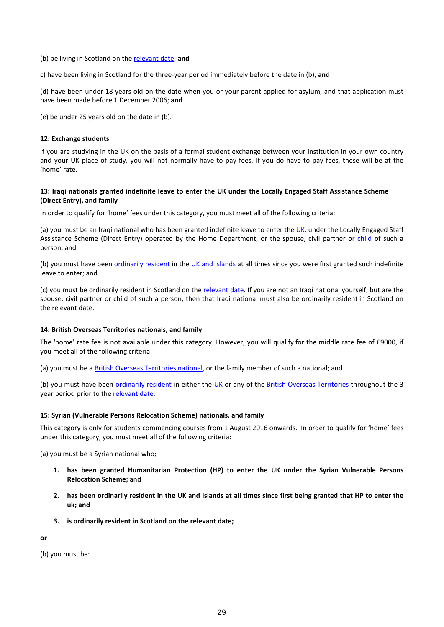(b) be living in Scotland on th[e relevant date;](http://www.ukcisa.org.uk/Information--Advice/Fees-and-Money/Scotland-fee-status#RL) **and**

c) have been living in Scotland for the three-year period immediately before the date in (b); **and**

(d) have been under 18 years old on the date when you or your parent applied for asylum, and that application must have been made before 1 December 2006; **and**

(e) be under 25 years old on the date in (b).

#### **12: Exchange students**

If you are studying in the UK on the basis of a formal student exchange between your institution in your own country and your UK place of study, you will not normally have to pay fees. If you do have to pay fees, these will be at the 'home' rate.

#### **13: Iraqi nationals granted indefinite leave to enter the UK under the Locally Engaged Staff Assistance Scheme (Direct Entry), and family**

In order to qualify for 'home' fees under this category, you must meet all of the following criteria:

(a) you must be an Iraqi national who has been granted indefinite leave to enter the [UK,](http://www.ukcisa.org.uk/Information--Advice/Fees-and-Money/Scotland-fee-status#RL) under the Locally Engaged Staff Assistance Scheme (Direct Entry) operated by the Home Department, or the spouse, civil partner or [child](http://www.ukcisa.org.uk/Information--Advice/Fees-and-Money/Scotland-fee-status#RL) of such a person; and

(b) you must have been [ordinarily resident](http://www.ukcisa.org.uk/Information--Advice/Fees-and-Money/Scotland-fee-status#RL) in th[e UK and Islands](http://www.ukcisa.org.uk/Information--Advice/Fees-and-Money/Scotland-fee-status#RL) at all times since you were first granted such indefinite leave to enter; and

(c) you must be ordinarily resident in Scotland on the [relevant date.](http://www.ukcisa.org.uk/Information--Advice/Fees-and-Money/Scotland-fee-status#RL) If you are not an Iraqi national yourself, but are the spouse, civil partner or child of such a person, then that Iraqi national must also be ordinarily resident in Scotland on the relevant date.

#### **14: British Overseas Territories nationals, and family**

The 'home' rate fee is not available under this category. However, you will qualify for the middle rate fee of £9000, if you meet all of the following criteria:

(a) you must be a **British Overseas Territories national**, or the family member of such a national; and

(b) you must have been [ordinarily resident](http://www.ukcisa.org.uk/Information--Advice/Fees-and-Money/Scotland-fee-status#RL) in either the [UK](http://www.ukcisa.org.uk/Information--Advice/Fees-and-Money/Scotland-fee-status#RL) or any of the [British Overseas Territories](http://www.ukcisa.org.uk/Information--Advice/Fees-and-Money/Scotland-fee-status#RL) throughout the 3 year period prior to th[e relevant date.](http://www.ukcisa.org.uk/Information--Advice/Fees-and-Money/Scotland-fee-status#RL)

#### **15: Syrian (Vulnerable Persons Relocation Scheme) nationals, and family**

This category is only for students commencing courses from 1 August 2016 onwards. In order to qualify for 'home' fees under this category, you must meet all of the following criteria:

(a) you must be a Syrian national who;

- **1. has been granted Humanitarian Protection (HP) to enter the UK under the Syrian Vulnerable Persons Relocation Scheme;** and
- **2. has been ordinarily resident in the UK and Islands at all times since first being granted that HP to enter the uk; and**
- **3. is ordinarily resident in Scotland on the relevant date;**

**or**

(b) you must be: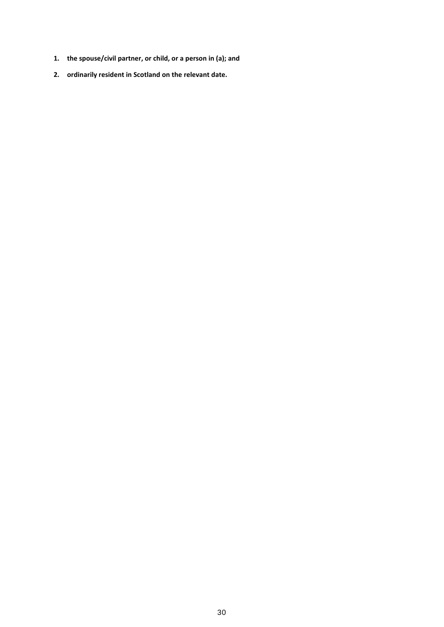- **1. the spouse/civil partner, or child, or a person in (a); and**
- **2. ordinarily resident in Scotland on the relevant date.**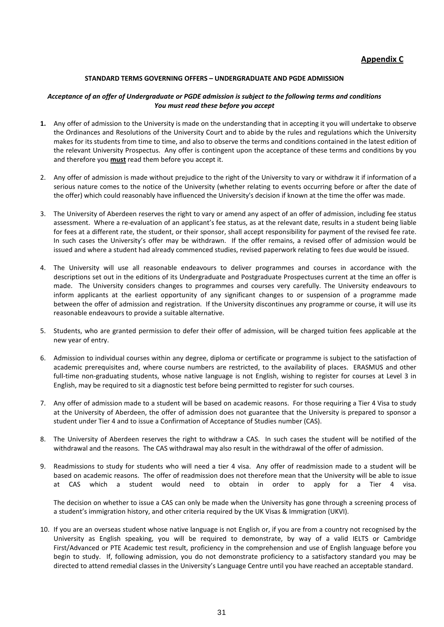#### **Appendix C**

#### **STANDARD TERMS GOVERNING OFFERS – UNDERGRADUATE AND PGDE ADMISSION**

#### *Acceptance of an offer of Undergraduate or PGDE admission is subject to the following terms and conditions You must read these before you accept*

- **1.** Any offer of admission to the University is made on the understanding that in accepting it you will undertake to observe the Ordinances and Resolutions of the University Court and to abide by the rules and regulations which the University makes for its students from time to time, and also to observe the terms and conditions contained in the latest edition of the relevant University Prospectus. Any offer is contingent upon the acceptance of these terms and conditions by you and therefore you **must** read them before you accept it.
- 2. Any offer of admission is made without prejudice to the right of the University to vary or withdraw it if information of a serious nature comes to the notice of the University (whether relating to events occurring before or after the date of the offer) which could reasonably have influenced the University's decision if known at the time the offer was made.
- 3. The University of Aberdeen reserves the right to vary or amend any aspect of an offer of admission, including fee status assessment. Where a re-evaluation of an applicant's fee status, as at the relevant date, results in a student being liable for fees at a different rate, the student, or their sponsor, shall accept responsibility for payment of the revised fee rate. In such cases the University's offer may be withdrawn. If the offer remains, a revised offer of admission would be issued and where a student had already commenced studies, revised paperwork relating to fees due would be issued.
- 4. The University will use all reasonable endeavours to deliver programmes and courses in accordance with the descriptions set out in the editions of its Undergraduate and Postgraduate Prospectuses current at the time an offer is made. The University considers changes to programmes and courses very carefully. The University endeavours to inform applicants at the earliest opportunity of any significant changes to or suspension of a programme made between the offer of admission and registration. If the University discontinues any programme or course, it will use its reasonable endeavours to provide a suitable alternative.
- 5. Students, who are granted permission to defer their offer of admission, will be charged tuition fees applicable at the new year of entry.
- 6. Admission to individual courses within any degree, diploma or certificate or programme is subject to the satisfaction of academic prerequisites and, where course numbers are restricted, to the availability of places. ERASMUS and other full-time non-graduating students, whose native language is not English, wishing to register for courses at Level 3 in English, may be required to sit a diagnostic test before being permitted to register for such courses.
- 7. Any offer of admission made to a student will be based on academic reasons. For those requiring a Tier 4 Visa to study at the University of Aberdeen, the offer of admission does not guarantee that the University is prepared to sponsor a student under Tier 4 and to issue a Confirmation of Acceptance of Studies number (CAS).
- 8. The University of Aberdeen reserves the right to withdraw a CAS. In such cases the student will be notified of the withdrawal and the reasons. The CAS withdrawal may also result in the withdrawal of the offer of admission.
- 9. Readmissions to study for students who will need a tier 4 visa. Any offer of readmission made to a student will be based on academic reasons. The offer of readmission does not therefore mean that the University will be able to issue at CAS which a student would need to obtain in order to apply for a Tier 4 visa.

The decision on whether to issue a CAS can only be made when the University has gone through a screening process of a student's immigration history, and other criteria required by the UK Visas & Immigration (UKVI).

10. If you are an overseas student whose native language is not English or, if you are from a country not recognised by the University as English speaking, you will be required to demonstrate, by way of a valid IELTS or Cambridge First/Advanced or PTE Academic test result, proficiency in the comprehension and use of English language before you begin to study. If, following admission, you do not demonstrate proficiency to a satisfactory standard you may be directed to attend remedial classes in the University's Language Centre until you have reached an acceptable standard.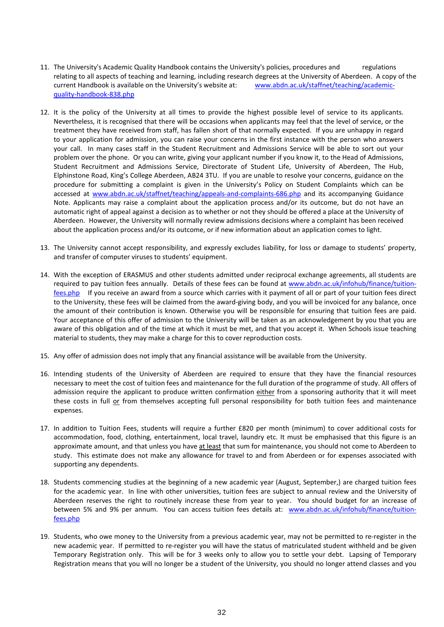- 11. The University's Academic Quality Handbook contains the University's policies, procedures and regulations relating to all aspects of teaching and learning, including research degrees at the University of Aberdeen. A copy of the current Handbook is available on the University's website at: [www.abdn.ac.uk/staffnet/teaching/academic](http://www.abdn.ac.uk/staffnet/teaching/academic-quality-handbook-838.php)[quality-handbook-838.php](http://www.abdn.ac.uk/staffnet/teaching/academic-quality-handbook-838.php)
- 12. It is the policy of the University at all times to provide the highest possible level of service to its applicants. Nevertheless, it is recognised that there will be occasions when applicants may feel that the level of service, or the treatment they have received from staff, has fallen short of that normally expected. If you are unhappy in regard to your application for admission, you can raise your concerns in the first instance with the person who answers your call. In many cases staff in the Student Recruitment and Admissions Service will be able to sort out your problem over the phone. Or you can write, giving your applicant number if you know it, to the Head of Admissions, Student Recruitment and Admissions Service, Directorate of Student Life, University of Aberdeen, The Hub, Elphinstone Road, King's College Aberdeen, AB24 3TU. If you are unable to resolve your concerns, guidance on the procedure for submitting a complaint is given in the University's Policy on Student Complaints which can be accessed at [www.abdn.ac.uk/staffnet/teaching/appeals-and-complaints-686.php](http://www.abdn.ac.uk/staffnet/teaching/appeals-and-complaints-686.php) and its accompanying Guidance Note. Applicants may raise a complaint about the application process and/or its outcome, but do not have an automatic right of appeal against a decision as to whether or not they should be offered a place at the University of Aberdeen. However, the University will normally review admissions decisions where a complaint has been received about the application process and/or its outcome, or if new information about an application comes to light.
- 13. The University cannot accept responsibility, and expressly excludes liability, for loss or damage to students' property, and transfer of computer viruses to students' equipment.
- 14. With the exception of ERASMUS and other students admitted under reciprocal exchange agreements, all students are required to pay tuition fees annually. Details of these fees can be found at [www.abdn.ac.uk/infohub/finance/tuition](http://www.abdn.ac.uk/infohub/finance/tuition-fees.php)[fees.php](http://www.abdn.ac.uk/infohub/finance/tuition-fees.php) If you receive an award from a source which carries with it payment of all or part of your tuition fees direct to the University, these fees will be claimed from the award-giving body, and you will be invoiced for any balance, once the amount of their contribution is known. Otherwise you will be responsible for ensuring that tuition fees are paid. Your acceptance of this offer of admission to the University will be taken as an acknowledgement by you that you are aware of this obligation and of the time at which it must be met, and that you accept it. When Schools issue teaching material to students, they may make a charge for this to cover reproduction costs.
- 15. Any offer of admission does not imply that any financial assistance will be available from the University.
- 16. Intending students of the University of Aberdeen are required to ensure that they have the financial resources necessary to meet the cost of tuition fees and maintenance for the full duration of the programme of study. All offers of admission require the applicant to produce written confirmation either from a sponsoring authority that it will meet these costs in full or from themselves accepting full personal responsibility for both tuition fees and maintenance expenses.
- 17. In addition to Tuition Fees, students will require a further £820 per month (minimum) to cover additional costs for accommodation, food, clothing, entertainment, local travel, laundry etc. It must be emphasised that this figure is an approximate amount, and that unless you have at least that sum for maintenance, you should not come to Aberdeen to study. This estimate does not make any allowance for travel to and from Aberdeen or for expenses associated with supporting any dependents.
- 18. Students commencing studies at the beginning of a new academic year (August, September,) are charged tuition fees for the academic year. In line with other universities, tuition fees are subject to annual review and the University of Aberdeen reserves the right to routinely increase these from year to year. You should budget for an increase of between 5% and 9% per annum. You can access tuition fees details at: [www.abdn.ac.uk/infohub/finance/tuition](http://www.abdn.ac.uk/infohub/finance/tuition-fees.php)[fees.php](http://www.abdn.ac.uk/infohub/finance/tuition-fees.php)
- 19. Students, who owe money to the University from a previous academic year, may not be permitted to re-register in the new academic year. If permitted to re-register you will have the status of matriculated student withheld and be given Temporary Registration only. This will be for 3 weeks only to allow you to settle your debt. Lapsing of Temporary Registration means that you will no longer be a student of the University, you should no longer attend classes and you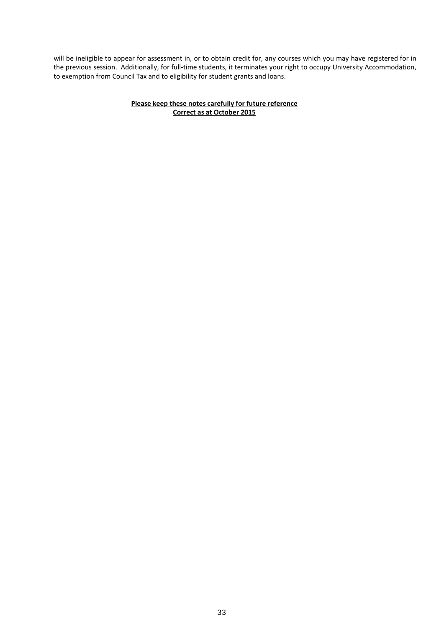will be ineligible to appear for assessment in, or to obtain credit for, any courses which you may have registered for in the previous session. Additionally, for full-time students, it terminates your right to occupy University Accommodation, to exemption from Council Tax and to eligibility for student grants and loans.

#### **Please keep these notes carefully for future reference Correct as at October 2015**